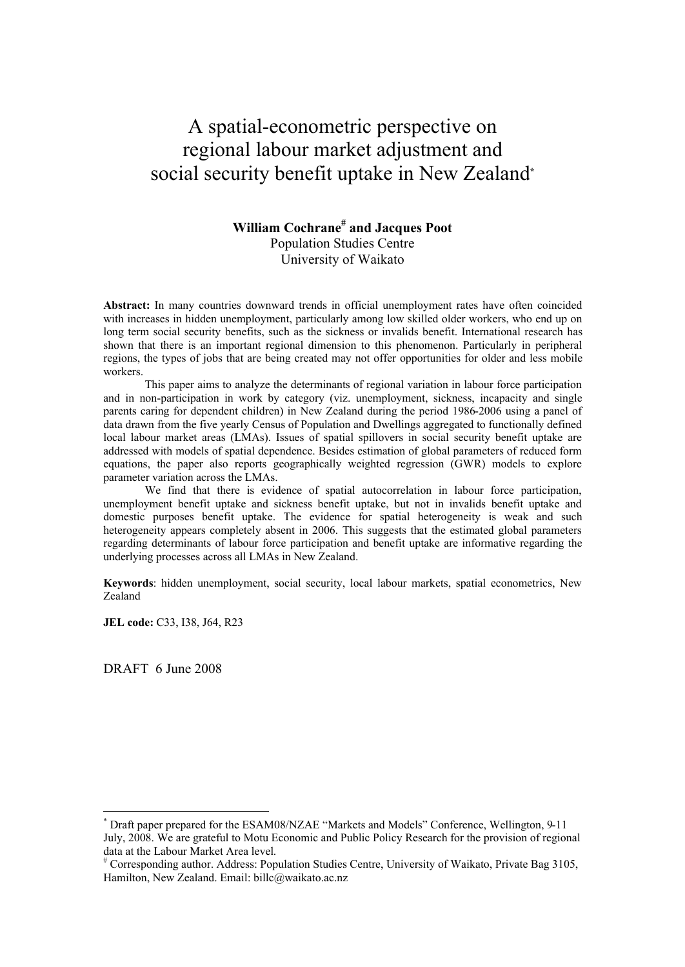# A spatial-econometric perspective on regional labour market adjustment and social security benefit uptake in New Zealand**\***

## **William Cochrane# and Jacques Poot** Population Studies Centre University of Waikato

**Abstract:** In many countries downward trends in official unemployment rates have often coincided with increases in hidden unemployment, particularly among low skilled older workers, who end up on long term social security benefits, such as the sickness or invalids benefit. International research has shown that there is an important regional dimension to this phenomenon. Particularly in peripheral regions, the types of jobs that are being created may not offer opportunities for older and less mobile workers.

This paper aims to analyze the determinants of regional variation in labour force participation and in non-participation in work by category (viz. unemployment, sickness, incapacity and single parents caring for dependent children) in New Zealand during the period 1986-2006 using a panel of data drawn from the five yearly Census of Population and Dwellings aggregated to functionally defined local labour market areas (LMAs). Issues of spatial spillovers in social security benefit uptake are addressed with models of spatial dependence. Besides estimation of global parameters of reduced form equations, the paper also reports geographically weighted regression (GWR) models to explore parameter variation across the LMAs.

We find that there is evidence of spatial autocorrelation in labour force participation, unemployment benefit uptake and sickness benefit uptake, but not in invalids benefit uptake and domestic purposes benefit uptake. The evidence for spatial heterogeneity is weak and such heterogeneity appears completely absent in 2006. This suggests that the estimated global parameters regarding determinants of labour force participation and benefit uptake are informative regarding the underlying processes across all LMAs in New Zealand.

**Keywords**: hidden unemployment, social security, local labour markets, spatial econometrics, New Zealand

**JEL code:** C33, I38, J64, R23

DRAFT 6 June 2008

 $\overline{a}$ 

<sup>\*</sup> Draft paper prepared for the ESAM08/NZAE "Markets and Models" Conference, Wellington, 9-11 July, 2008. We are grateful to Motu Economic and Public Policy Research for the provision of regional data at the Labour Market Area level.

<sup>#</sup> Corresponding author. Address: Population Studies Centre, University of Waikato, Private Bag 3105, Hamilton, New Zealand. Email: billc@waikato.ac.nz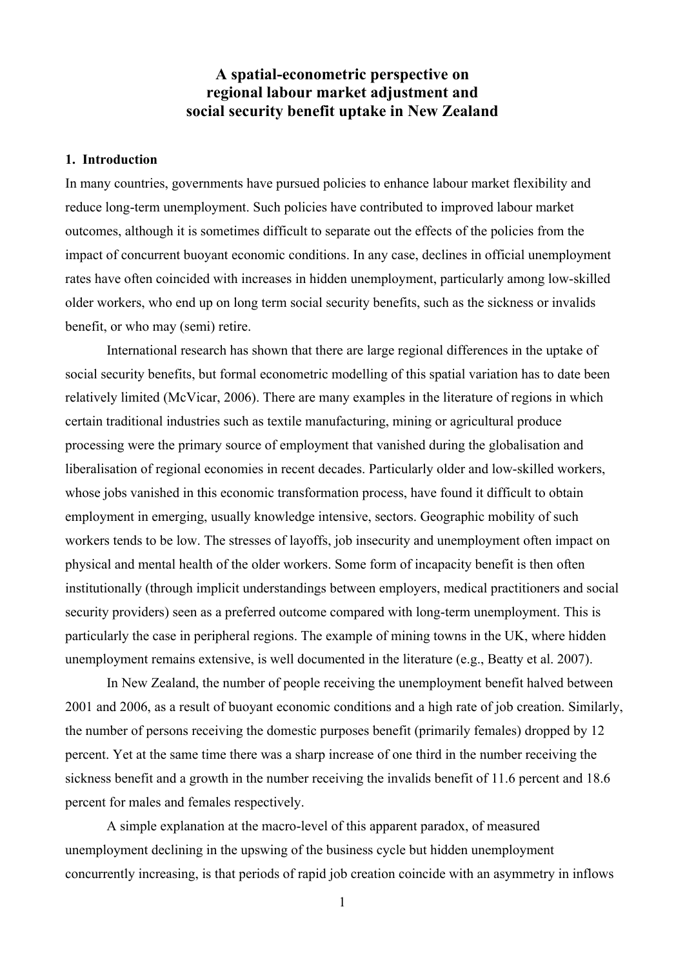## **A spatial-econometric perspective on regional labour market adjustment and social security benefit uptake in New Zealand**

## **1. Introduction**

In many countries, governments have pursued policies to enhance labour market flexibility and reduce long-term unemployment. Such policies have contributed to improved labour market outcomes, although it is sometimes difficult to separate out the effects of the policies from the impact of concurrent buoyant economic conditions. In any case, declines in official unemployment rates have often coincided with increases in hidden unemployment, particularly among low-skilled older workers, who end up on long term social security benefits, such as the sickness or invalids benefit, or who may (semi) retire.

International research has shown that there are large regional differences in the uptake of social security benefits, but formal econometric modelling of this spatial variation has to date been relatively limited (McVicar, 2006). There are many examples in the literature of regions in which certain traditional industries such as textile manufacturing, mining or agricultural produce processing were the primary source of employment that vanished during the globalisation and liberalisation of regional economies in recent decades. Particularly older and low-skilled workers, whose jobs vanished in this economic transformation process, have found it difficult to obtain employment in emerging, usually knowledge intensive, sectors. Geographic mobility of such workers tends to be low. The stresses of layoffs, job insecurity and unemployment often impact on physical and mental health of the older workers. Some form of incapacity benefit is then often institutionally (through implicit understandings between employers, medical practitioners and social security providers) seen as a preferred outcome compared with long-term unemployment. This is particularly the case in peripheral regions. The example of mining towns in the UK, where hidden unemployment remains extensive, is well documented in the literature (e.g., Beatty et al. 2007).

In New Zealand, the number of people receiving the unemployment benefit halved between 2001 and 2006, as a result of buoyant economic conditions and a high rate of job creation. Similarly, the number of persons receiving the domestic purposes benefit (primarily females) dropped by 12 percent. Yet at the same time there was a sharp increase of one third in the number receiving the sickness benefit and a growth in the number receiving the invalids benefit of 11.6 percent and 18.6 percent for males and females respectively.

A simple explanation at the macro-level of this apparent paradox, of measured unemployment declining in the upswing of the business cycle but hidden unemployment concurrently increasing, is that periods of rapid job creation coincide with an asymmetry in inflows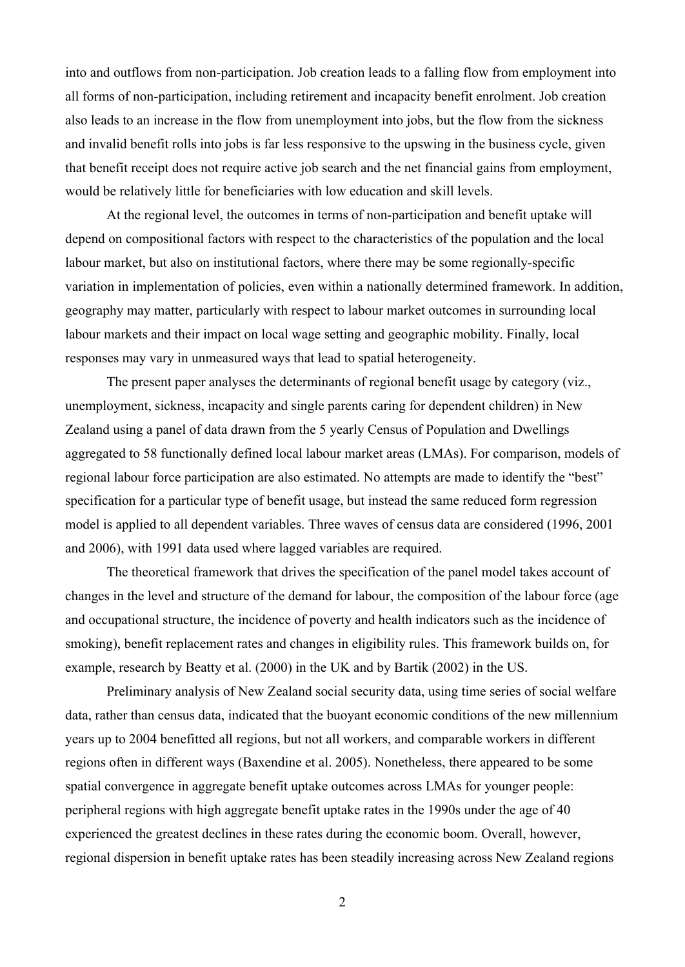into and outflows from non-participation. Job creation leads to a falling flow from employment into all forms of non-participation, including retirement and incapacity benefit enrolment. Job creation also leads to an increase in the flow from unemployment into jobs, but the flow from the sickness and invalid benefit rolls into jobs is far less responsive to the upswing in the business cycle, given that benefit receipt does not require active job search and the net financial gains from employment, would be relatively little for beneficiaries with low education and skill levels.

At the regional level, the outcomes in terms of non-participation and benefit uptake will depend on compositional factors with respect to the characteristics of the population and the local labour market, but also on institutional factors, where there may be some regionally-specific variation in implementation of policies, even within a nationally determined framework. In addition, geography may matter, particularly with respect to labour market outcomes in surrounding local labour markets and their impact on local wage setting and geographic mobility. Finally, local responses may vary in unmeasured ways that lead to spatial heterogeneity.

The present paper analyses the determinants of regional benefit usage by category (viz., unemployment, sickness, incapacity and single parents caring for dependent children) in New Zealand using a panel of data drawn from the 5 yearly Census of Population and Dwellings aggregated to 58 functionally defined local labour market areas (LMAs). For comparison, models of regional labour force participation are also estimated. No attempts are made to identify the "best" specification for a particular type of benefit usage, but instead the same reduced form regression model is applied to all dependent variables. Three waves of census data are considered (1996, 2001 and 2006), with 1991 data used where lagged variables are required.

The theoretical framework that drives the specification of the panel model takes account of changes in the level and structure of the demand for labour, the composition of the labour force (age and occupational structure, the incidence of poverty and health indicators such as the incidence of smoking), benefit replacement rates and changes in eligibility rules. This framework builds on, for example, research by Beatty et al. (2000) in the UK and by Bartik (2002) in the US.

Preliminary analysis of New Zealand social security data, using time series of social welfare data, rather than census data, indicated that the buoyant economic conditions of the new millennium years up to 2004 benefitted all regions, but not all workers, and comparable workers in different regions often in different ways (Baxendine et al. 2005). Nonetheless, there appeared to be some spatial convergence in aggregate benefit uptake outcomes across LMAs for younger people: peripheral regions with high aggregate benefit uptake rates in the 1990s under the age of 40 experienced the greatest declines in these rates during the economic boom. Overall, however, regional dispersion in benefit uptake rates has been steadily increasing across New Zealand regions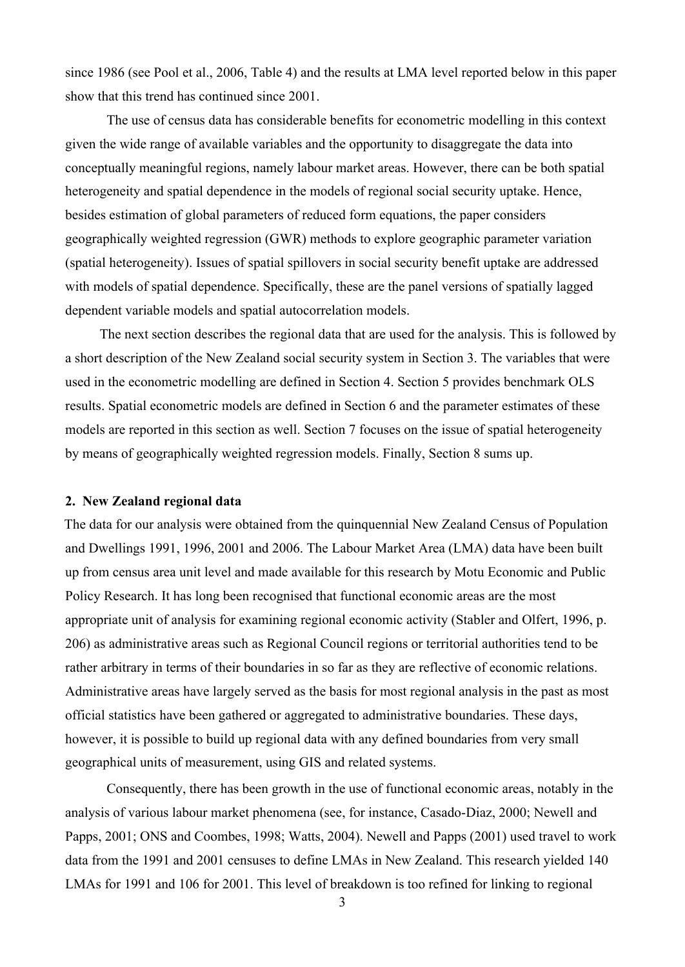since 1986 (see Pool et al., 2006, Table 4) and the results at LMA level reported below in this paper show that this trend has continued since 2001.

The use of census data has considerable benefits for econometric modelling in this context given the wide range of available variables and the opportunity to disaggregate the data into conceptually meaningful regions, namely labour market areas. However, there can be both spatial heterogeneity and spatial dependence in the models of regional social security uptake. Hence, besides estimation of global parameters of reduced form equations, the paper considers geographically weighted regression (GWR) methods to explore geographic parameter variation (spatial heterogeneity). Issues of spatial spillovers in social security benefit uptake are addressed with models of spatial dependence. Specifically, these are the panel versions of spatially lagged dependent variable models and spatial autocorrelation models.

The next section describes the regional data that are used for the analysis. This is followed by a short description of the New Zealand social security system in Section 3. The variables that were used in the econometric modelling are defined in Section 4. Section 5 provides benchmark OLS results. Spatial econometric models are defined in Section 6 and the parameter estimates of these models are reported in this section as well. Section 7 focuses on the issue of spatial heterogeneity by means of geographically weighted regression models. Finally, Section 8 sums up.

#### **2. New Zealand regional data**

The data for our analysis were obtained from the quinquennial New Zealand Census of Population and Dwellings 1991, 1996, 2001 and 2006. The Labour Market Area (LMA) data have been built up from census area unit level and made available for this research by Motu Economic and Public Policy Research. It has long been recognised that functional economic areas are the most appropriate unit of analysis for examining regional economic activity (Stabler and Olfert, 1996, p. 206) as administrative areas such as Regional Council regions or territorial authorities tend to be rather arbitrary in terms of their boundaries in so far as they are reflective of economic relations. Administrative areas have largely served as the basis for most regional analysis in the past as most official statistics have been gathered or aggregated to administrative boundaries. These days, however, it is possible to build up regional data with any defined boundaries from very small geographical units of measurement, using GIS and related systems.

Consequently, there has been growth in the use of functional economic areas, notably in the analysis of various labour market phenomena (see, for instance, Casado-Diaz, 2000; Newell and Papps, 2001; ONS and Coombes, 1998; Watts, 2004). Newell and Papps (2001) used travel to work data from the 1991 and 2001 censuses to define LMAs in New Zealand. This research yielded 140 LMAs for 1991 and 106 for 2001. This level of breakdown is too refined for linking to regional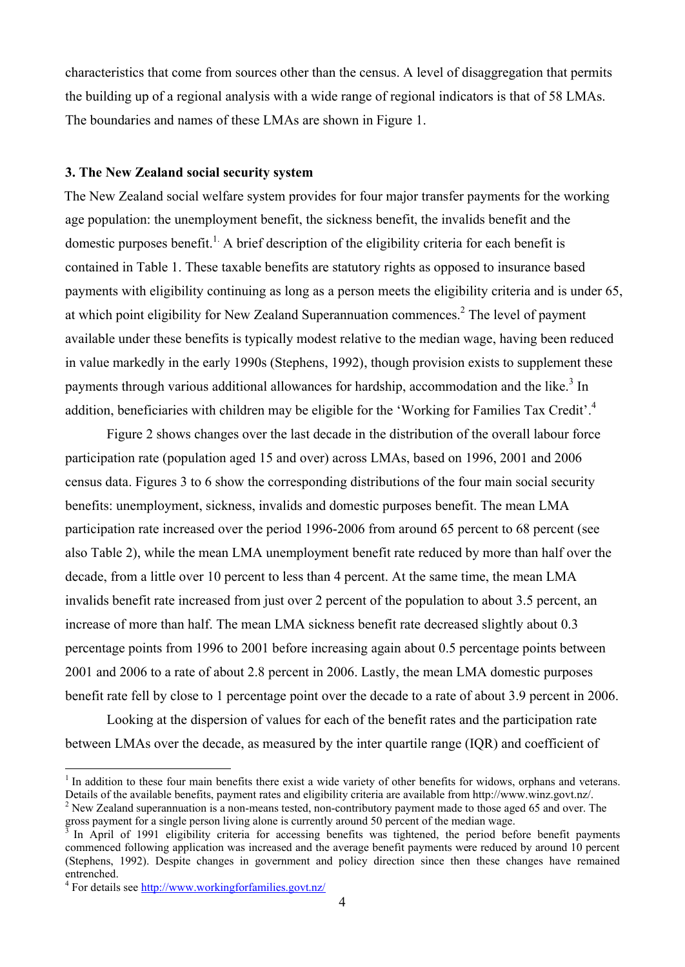characteristics that come from sources other than the census. A level of disaggregation that permits the building up of a regional analysis with a wide range of regional indicators is that of 58 LMAs. The boundaries and names of these LMAs are shown in Figure 1.

## **3. The New Zealand social security system**

The New Zealand social welfare system provides for four major transfer payments for the working age population: the unemployment benefit, the sickness benefit, the invalids benefit and the domestic purposes benefit.<sup>1</sup> A brief description of the eligibility criteria for each benefit is contained in Table 1. These taxable benefits are statutory rights as opposed to insurance based payments with eligibility continuing as long as a person meets the eligibility criteria and is under 65, at which point eligibility for New Zealand Superannuation commences.<sup>2</sup> The level of payment available under these benefits is typically modest relative to the median wage, having been reduced in value markedly in the early 1990s (Stephens, 1992), though provision exists to supplement these payments through various additional allowances for hardship, accommodation and the like.<sup>3</sup> In addition, beneficiaries with children may be eligible for the 'Working for Families Tax Credit'.<sup>4</sup>

Figure 2 shows changes over the last decade in the distribution of the overall labour force participation rate (population aged 15 and over) across LMAs, based on 1996, 2001 and 2006 census data. Figures 3 to 6 show the corresponding distributions of the four main social security benefits: unemployment, sickness, invalids and domestic purposes benefit. The mean LMA participation rate increased over the period 1996-2006 from around 65 percent to 68 percent (see also Table 2), while the mean LMA unemployment benefit rate reduced by more than half over the decade, from a little over 10 percent to less than 4 percent. At the same time, the mean LMA invalids benefit rate increased from just over 2 percent of the population to about 3.5 percent, an increase of more than half. The mean LMA sickness benefit rate decreased slightly about 0.3 percentage points from 1996 to 2001 before increasing again about 0.5 percentage points between 2001 and 2006 to a rate of about 2.8 percent in 2006. Lastly, the mean LMA domestic purposes benefit rate fell by close to 1 percentage point over the decade to a rate of about 3.9 percent in 2006.

Looking at the dispersion of values for each of the benefit rates and the participation rate between LMAs over the decade, as measured by the inter quartile range (IQR) and coefficient of

<sup>&</sup>lt;sup>1</sup> In addition to these four main benefits there exist a wide variety of other benefits for widows, orphans and veterans. Details of the available benefits, payment rates and eligibility criteria are available from http://www.winz.govt.nz/.  $2$  New Zealand superannuation is a non-means tested, non-contributory payment made to those aged 65 and over. The

gross payment for a single person living alone is currently around 50 percent of the median wage.

<sup>3</sup> In April of 1991 eligibility criteria for accessing benefits was tightened, the period before benefit payments commenced following application was increased and the average benefit payments were reduced by around 10 percent (Stephens, 1992). Despite changes in government and policy direction since then these changes have remained entrenched.

<sup>&</sup>lt;sup>4</sup> For details see http://www.workingforfamilies.govt.nz/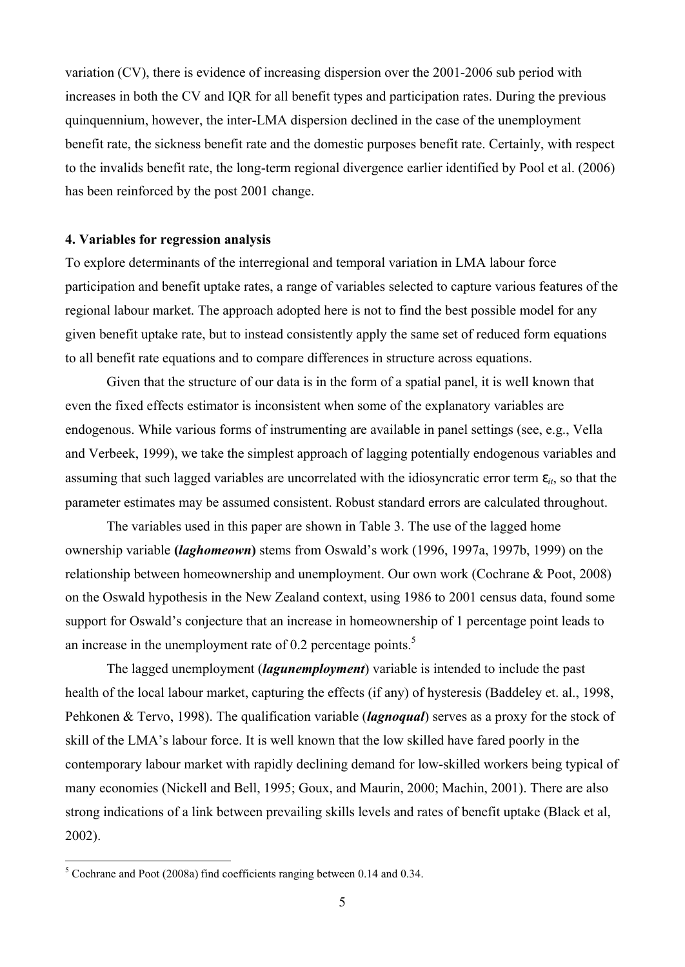variation (CV), there is evidence of increasing dispersion over the 2001-2006 sub period with increases in both the CV and IQR for all benefit types and participation rates. During the previous quinquennium, however, the inter-LMA dispersion declined in the case of the unemployment benefit rate, the sickness benefit rate and the domestic purposes benefit rate. Certainly, with respect to the invalids benefit rate, the long-term regional divergence earlier identified by Pool et al. (2006) has been reinforced by the post 2001 change.

## **4. Variables for regression analysis**

To explore determinants of the interregional and temporal variation in LMA labour force participation and benefit uptake rates, a range of variables selected to capture various features of the regional labour market. The approach adopted here is not to find the best possible model for any given benefit uptake rate, but to instead consistently apply the same set of reduced form equations to all benefit rate equations and to compare differences in structure across equations.

Given that the structure of our data is in the form of a spatial panel, it is well known that even the fixed effects estimator is inconsistent when some of the explanatory variables are endogenous. While various forms of instrumenting are available in panel settings (see, e.g., Vella and Verbeek, 1999), we take the simplest approach of lagging potentially endogenous variables and assuming that such lagged variables are uncorrelated with the idiosyncratic error term  $e_{it}$ , so that the parameter estimates may be assumed consistent. Robust standard errors are calculated throughout.

The variables used in this paper are shown in Table 3. The use of the lagged home ownership variable **(***laghomeown***)** stems from Oswald's work (1996, 1997a, 1997b, 1999) on the relationship between homeownership and unemployment. Our own work (Cochrane & Poot, 2008) on the Oswald hypothesis in the New Zealand context, using 1986 to 2001 census data, found some support for Oswald's conjecture that an increase in homeownership of 1 percentage point leads to an increase in the unemployment rate of 0.2 percentage points.<sup>5</sup>

The lagged unemployment (*lagunemployment*) variable is intended to include the past health of the local labour market, capturing the effects (if any) of hysteresis (Baddeley et. al., 1998, Pehkonen & Tervo, 1998). The qualification variable (*lagnoqual*) serves as a proxy for the stock of skill of the LMA's labour force. It is well known that the low skilled have fared poorly in the contemporary labour market with rapidly declining demand for low-skilled workers being typical of many economies (Nickell and Bell, 1995; Goux, and Maurin, 2000; Machin, 2001). There are also strong indications of a link between prevailing skills levels and rates of benefit uptake (Black et al, 2002).

 $\overline{a}$ 

 $5$  Cochrane and Poot (2008a) find coefficients ranging between 0.14 and 0.34.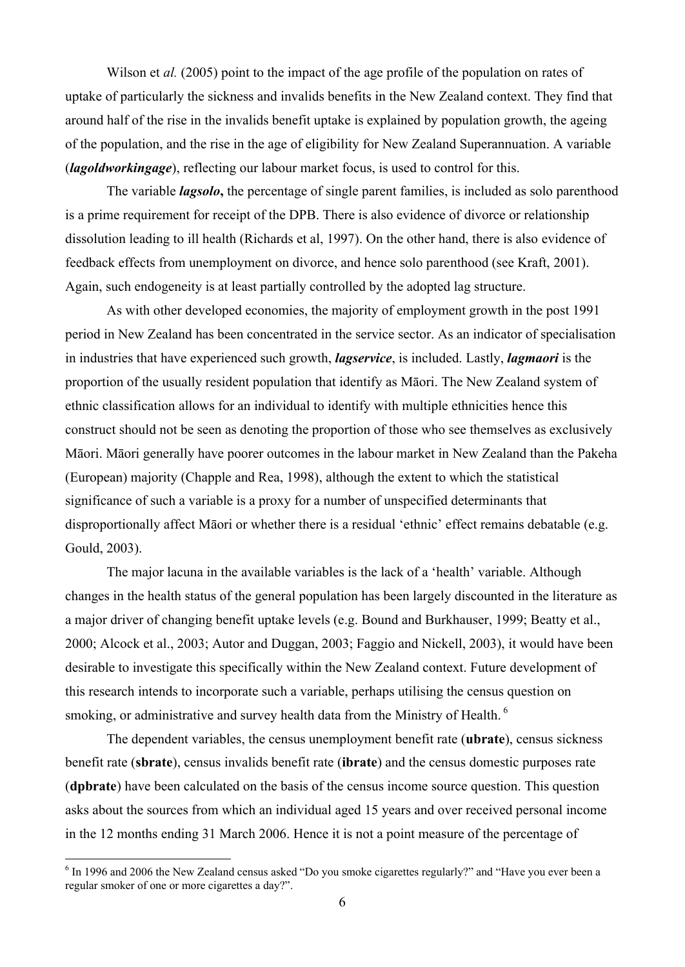Wilson et *al.* (2005) point to the impact of the age profile of the population on rates of uptake of particularly the sickness and invalids benefits in the New Zealand context. They find that around half of the rise in the invalids benefit uptake is explained by population growth, the ageing of the population, and the rise in the age of eligibility for New Zealand Superannuation. A variable (*lagoldworkingage*), reflecting our labour market focus, is used to control for this.

The variable *lagsolo***,** the percentage of single parent families, is included as solo parenthood is a prime requirement for receipt of the DPB. There is also evidence of divorce or relationship dissolution leading to ill health (Richards et al, 1997). On the other hand, there is also evidence of feedback effects from unemployment on divorce, and hence solo parenthood (see Kraft, 2001). Again, such endogeneity is at least partially controlled by the adopted lag structure.

As with other developed economies, the majority of employment growth in the post 1991 period in New Zealand has been concentrated in the service sector. As an indicator of specialisation in industries that have experienced such growth, *lagservice*, is included. Lastly, *lagmaori* is the proportion of the usually resident population that identify as Māori. The New Zealand system of ethnic classification allows for an individual to identify with multiple ethnicities hence this construct should not be seen as denoting the proportion of those who see themselves as exclusively Māori. Māori generally have poorer outcomes in the labour market in New Zealand than the Pakeha (European) majority (Chapple and Rea, 1998), although the extent to which the statistical significance of such a variable is a proxy for a number of unspecified determinants that disproportionally affect Māori or whether there is a residual 'ethnic' effect remains debatable (e.g. Gould, 2003).

The major lacuna in the available variables is the lack of a 'health' variable. Although changes in the health status of the general population has been largely discounted in the literature as a major driver of changing benefit uptake levels (e.g. Bound and Burkhauser, 1999; Beatty et al., 2000; Alcock et al., 2003; Autor and Duggan, 2003; Faggio and Nickell, 2003), it would have been desirable to investigate this specifically within the New Zealand context. Future development of this research intends to incorporate such a variable, perhaps utilising the census question on smoking, or administrative and survey health data from the Ministry of Health.<sup>6</sup>

The dependent variables, the census unemployment benefit rate (**ubrate**), census sickness benefit rate (**sbrate**), census invalids benefit rate (**ibrate**) and the census domestic purposes rate (**dpbrate**) have been calculated on the basis of the census income source question. This question asks about the sources from which an individual aged 15 years and over received personal income in the 12 months ending 31 March 2006. Hence it is not a point measure of the percentage of

 $\overline{a}$ 

<sup>&</sup>lt;sup>6</sup> In 1996 and 2006 the New Zealand census asked "Do you smoke cigarettes regularly?" and "Have you ever been a regular smoker of one or more cigarettes a day?".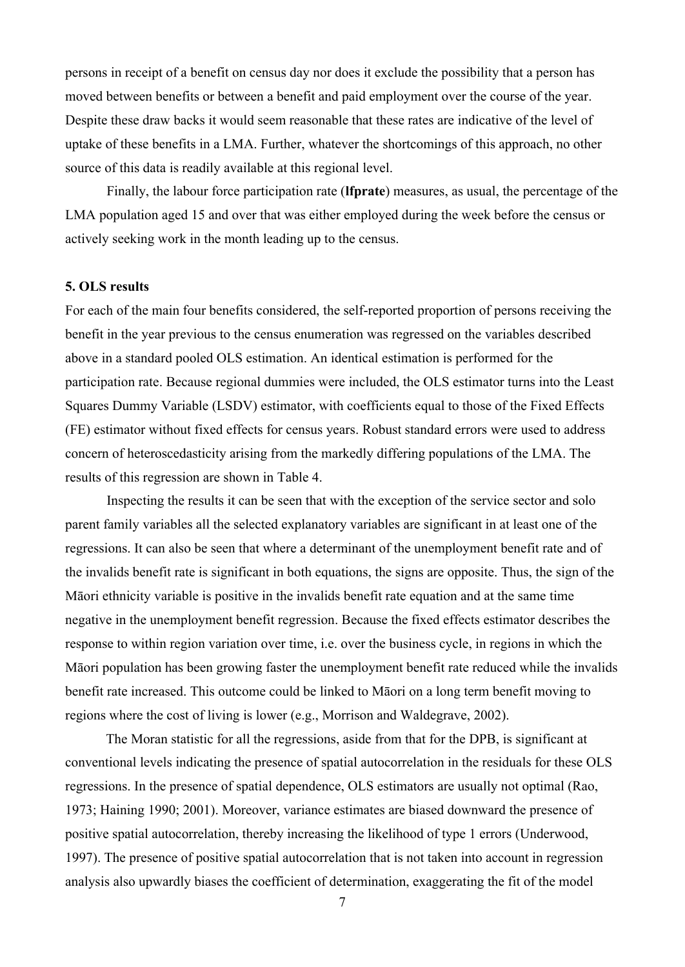persons in receipt of a benefit on census day nor does it exclude the possibility that a person has moved between benefits or between a benefit and paid employment over the course of the year. Despite these draw backs it would seem reasonable that these rates are indicative of the level of uptake of these benefits in a LMA. Further, whatever the shortcomings of this approach, no other source of this data is readily available at this regional level.

Finally, the labour force participation rate (**lfprate**) measures, as usual, the percentage of the LMA population aged 15 and over that was either employed during the week before the census or actively seeking work in the month leading up to the census.

#### **5. OLS results**

For each of the main four benefits considered, the self-reported proportion of persons receiving the benefit in the year previous to the census enumeration was regressed on the variables described above in a standard pooled OLS estimation. An identical estimation is performed for the participation rate. Because regional dummies were included, the OLS estimator turns into the Least Squares Dummy Variable (LSDV) estimator, with coefficients equal to those of the Fixed Effects (FE) estimator without fixed effects for census years. Robust standard errors were used to address concern of heteroscedasticity arising from the markedly differing populations of the LMA. The results of this regression are shown in Table 4.

Inspecting the results it can be seen that with the exception of the service sector and solo parent family variables all the selected explanatory variables are significant in at least one of the regressions. It can also be seen that where a determinant of the unemployment benefit rate and of the invalids benefit rate is significant in both equations, the signs are opposite. Thus, the sign of the Māori ethnicity variable is positive in the invalids benefit rate equation and at the same time negative in the unemployment benefit regression. Because the fixed effects estimator describes the response to within region variation over time, i.e. over the business cycle, in regions in which the Māori population has been growing faster the unemployment benefit rate reduced while the invalids benefit rate increased. This outcome could be linked to Māori on a long term benefit moving to regions where the cost of living is lower (e.g., Morrison and Waldegrave, 2002).

The Moran statistic for all the regressions, aside from that for the DPB, is significant at conventional levels indicating the presence of spatial autocorrelation in the residuals for these OLS regressions. In the presence of spatial dependence, OLS estimators are usually not optimal (Rao, 1973; Haining 1990; 2001). Moreover, variance estimates are biased downward the presence of positive spatial autocorrelation, thereby increasing the likelihood of type 1 errors (Underwood, 1997). The presence of positive spatial autocorrelation that is not taken into account in regression analysis also upwardly biases the coefficient of determination, exaggerating the fit of the model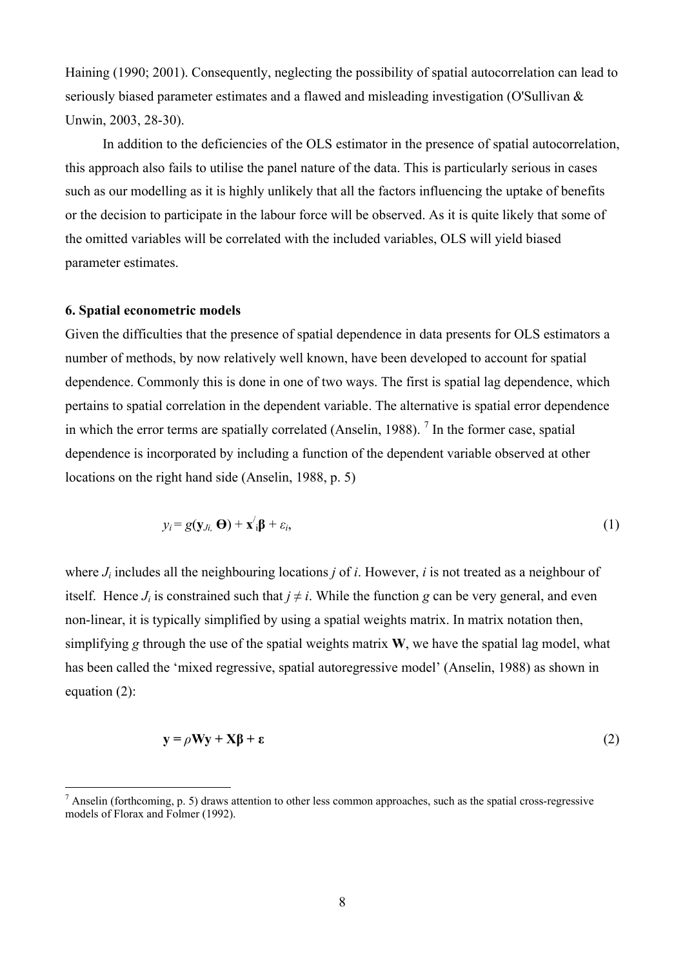Haining (1990; 2001). Consequently, neglecting the possibility of spatial autocorrelation can lead to seriously biased parameter estimates and a flawed and misleading investigation (O'Sullivan & Unwin, 2003, 28-30).

In addition to the deficiencies of the OLS estimator in the presence of spatial autocorrelation, this approach also fails to utilise the panel nature of the data. This is particularly serious in cases such as our modelling as it is highly unlikely that all the factors influencing the uptake of benefits or the decision to participate in the labour force will be observed. As it is quite likely that some of the omitted variables will be correlated with the included variables, OLS will yield biased parameter estimates.

#### **6. Spatial econometric models**

 $\overline{a}$ 

Given the difficulties that the presence of spatial dependence in data presents for OLS estimators a number of methods, by now relatively well known, have been developed to account for spatial dependence. Commonly this is done in one of two ways. The first is spatial lag dependence, which pertains to spatial correlation in the dependent variable. The alternative is spatial error dependence in which the error terms are spatially correlated (Anselin, 1988).<sup>7</sup> In the former case, spatial dependence is incorporated by including a function of the dependent variable observed at other locations on the right hand side (Anselin, 1988, p. 5)

$$
y_i = g(\mathbf{y}_{j_i}, \mathbf{\Theta}) + \mathbf{x}'_i \mathbf{\beta} + \varepsilon_i, \tag{1}
$$

where *Ji* includes all the neighbouring locations *j* of *i*. However, *i* is not treated as a neighbour of itself. Hence  $J_i$  is constrained such that  $j \neq i$ . While the function *g* can be very general, and even non-linear, it is typically simplified by using a spatial weights matrix. In matrix notation then, simplifying *g* through the use of the spatial weights matrix **W**, we have the spatial lag model, what has been called the 'mixed regressive, spatial autoregressive model' (Anselin, 1988) as shown in equation (2):

$$
y = \rho Wy + X\beta + \varepsilon
$$
 (2)

 $<sup>7</sup>$  Anselin (forthcoming, p. 5) draws attention to other less common approaches, such as the spatial cross-regressive</sup> models of Florax and Folmer (1992).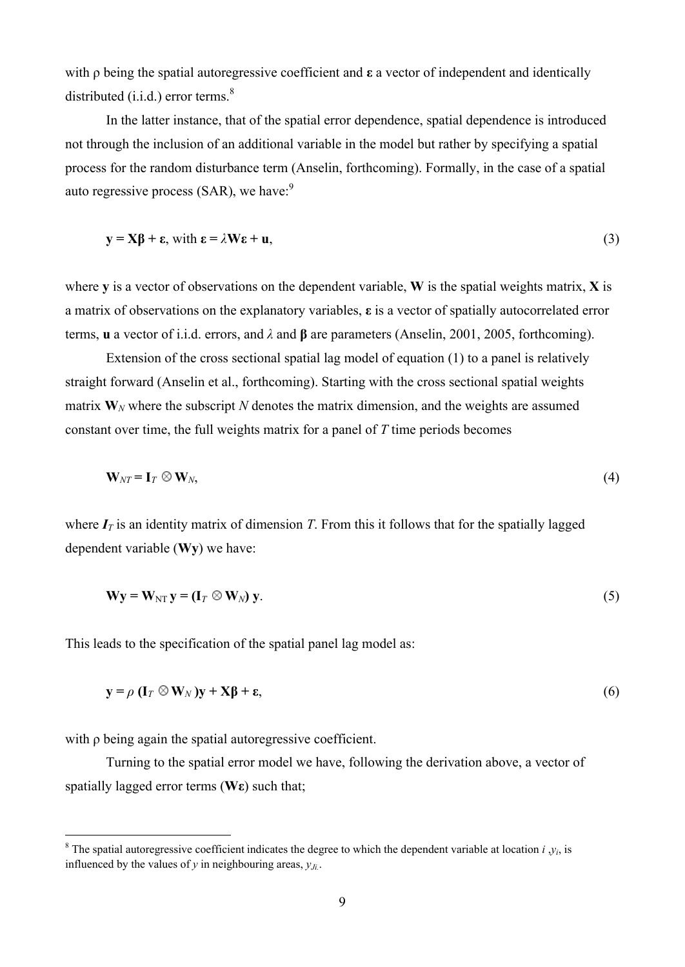with ρ being the spatial autoregressive coefficient and **ε** a vector of independent and identically distributed (i.i.d.) error terms. $8$ 

In the latter instance, that of the spatial error dependence, spatial dependence is introduced not through the inclusion of an additional variable in the model but rather by specifying a spatial process for the random disturbance term (Anselin, forthcoming). Formally, in the case of a spatial auto regressive process  $(SAR)$ , we have:<sup>9</sup>

$$
y = X\beta + \varepsilon, \text{ with } \varepsilon = \lambda W\varepsilon + u,
$$
\n(3)

where **y** is a vector of observations on the dependent variable, **W** is the spatial weights matrix, **X** is a matrix of observations on the explanatory variables, **ε** is a vector of spatially autocorrelated error terms, **u** a vector of i.i.d. errors, and *λ* and **β** are parameters (Anselin, 2001, 2005, forthcoming).

Extension of the cross sectional spatial lag model of equation (1) to a panel is relatively straight forward (Anselin et al., forthcoming). Starting with the cross sectional spatial weights matrix  $W_N$  where the subscript N denotes the matrix dimension, and the weights are assumed constant over time, the full weights matrix for a panel of *T* time periods becomes

$$
\mathbf{W}_{NT} = \mathbf{I}_T \otimes \mathbf{W}_N, \tag{4}
$$

where  $I_T$  is an identity matrix of dimension *T*. From this it follows that for the spatially lagged dependent variable (**Wy**) we have:

$$
\mathbf{W}\mathbf{y} = \mathbf{W}_{NT}\mathbf{y} = (\mathbf{I}_T \otimes \mathbf{W}_N)\mathbf{y}.
$$
 (5)

This leads to the specification of the spatial panel lag model as:

$$
\mathbf{y} = \rho \left( \mathbf{I}_T \otimes \mathbf{W}_N \right) \mathbf{y} + \mathbf{X} \boldsymbol{\beta} + \boldsymbol{\epsilon},\tag{6}
$$

with ρ being again the spatial autoregressive coefficient.

 $\overline{a}$ 

Turning to the spatial error model we have, following the derivation above, a vector of spatially lagged error terms (**Wε**) such that;

<sup>&</sup>lt;sup>8</sup> The spatial autoregressive coefficient indicates the degree to which the dependent variable at location  $i, y_i$ , is influenced by the values of *y* in neighbouring areas, *yJi.* .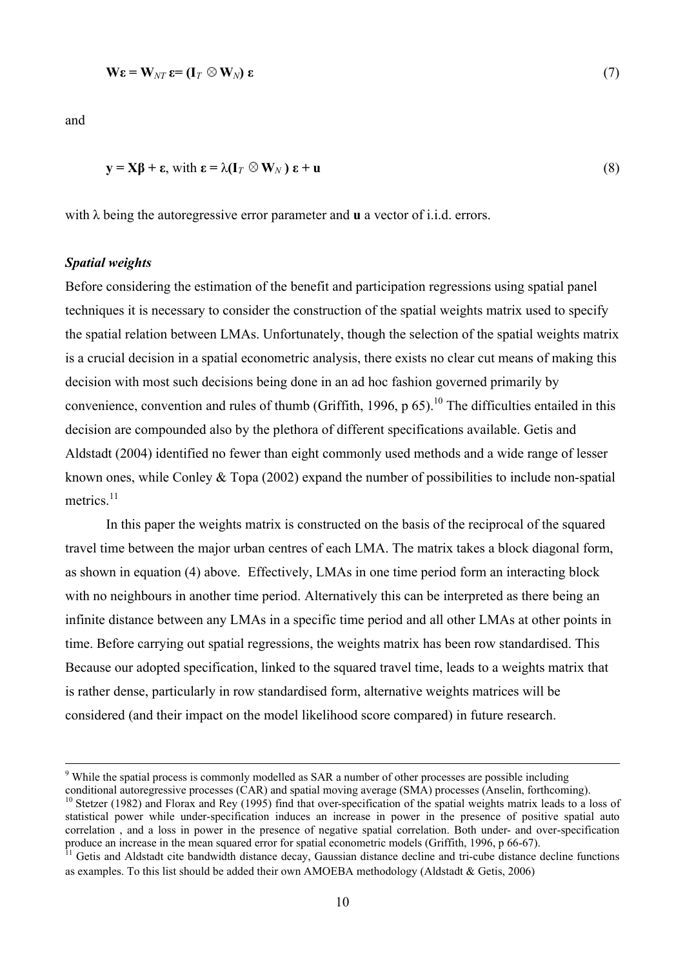$$
\mathbf{W}\boldsymbol{\varepsilon} = \mathbf{W}_{NT}\boldsymbol{\varepsilon} = (\mathbf{I}_T \otimes \mathbf{W}_N)\boldsymbol{\varepsilon}
$$
\n(7)

and

 $\overline{a}$ 

$$
\mathbf{y} = \mathbf{X}\mathbf{\beta} + \mathbf{\varepsilon}, \text{ with } \mathbf{\varepsilon} = \lambda(\mathbf{I}_T \otimes \mathbf{W}_N) \mathbf{\varepsilon} + \mathbf{u}
$$
\n(8)

with λ being the autoregressive error parameter and **u** a vector of i.i.d. errors.

## *Spatial weights*

Before considering the estimation of the benefit and participation regressions using spatial panel techniques it is necessary to consider the construction of the spatial weights matrix used to specify the spatial relation between LMAs. Unfortunately, though the selection of the spatial weights matrix is a crucial decision in a spatial econometric analysis, there exists no clear cut means of making this decision with most such decisions being done in an ad hoc fashion governed primarily by convenience, convention and rules of thumb (Griffith, 1996, p  $65$ ).<sup>10</sup> The difficulties entailed in this decision are compounded also by the plethora of different specifications available. Getis and Aldstadt (2004) identified no fewer than eight commonly used methods and a wide range of lesser known ones, while Conley & Topa (2002) expand the number of possibilities to include non-spatial metrics $11$ 

In this paper the weights matrix is constructed on the basis of the reciprocal of the squared travel time between the major urban centres of each LMA. The matrix takes a block diagonal form, as shown in equation (4) above. Effectively, LMAs in one time period form an interacting block with no neighbours in another time period. Alternatively this can be interpreted as there being an infinite distance between any LMAs in a specific time period and all other LMAs at other points in time. Before carrying out spatial regressions, the weights matrix has been row standardised. This Because our adopted specification, linked to the squared travel time, leads to a weights matrix that is rather dense, particularly in row standardised form, alternative weights matrices will be considered (and their impact on the model likelihood score compared) in future research.

conditional autoregressive processes (CAR) and spatial moving average (SMA) processes (Anselin, forthcoming).  $10$  Stetzer (1982) and Florax and Rey (1995) find that over-specification of the spatial weights matrix leads to a loss of statistical power while under-specification induces an increase in power in the presence of positive spatial auto correlation , and a loss in power in the presence of negative spatial correlation. Both under- and over-specification

<sup>&</sup>lt;sup>9</sup> While the spatial process is commonly modelled as SAR a number of other processes are possible including

produce an increase in the mean squared error for spatial econometric models (Griffith, 1996, p 66-67). <sup>11</sup> Getis and Aldstadt cite bandwidth distance decay, Gaussian distance decline and tri-cube distance decline functions

as examples. To this list should be added their own AMOEBA methodology (Aldstadt & Getis, 2006)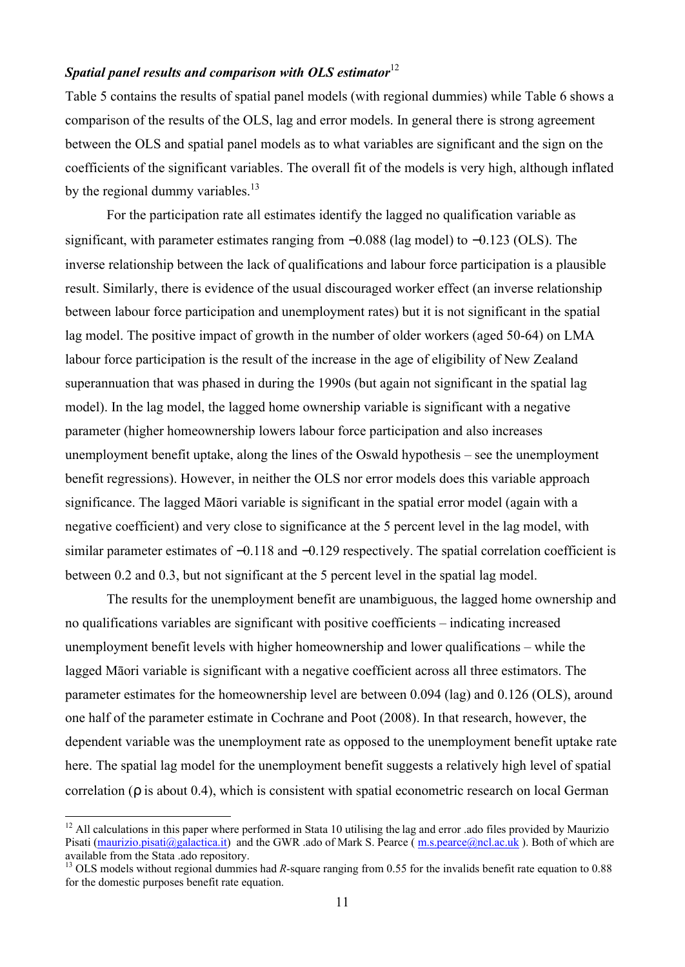## *Spatial panel results and comparison with OLS estimator*<sup>12</sup>

Table 5 contains the results of spatial panel models (with regional dummies) while Table 6 shows a comparison of the results of the OLS, lag and error models. In general there is strong agreement between the OLS and spatial panel models as to what variables are significant and the sign on the coefficients of the significant variables. The overall fit of the models is very high, although inflated by the regional dummy variables. $^{13}$ 

For the participation rate all estimates identify the lagged no qualification variable as significant, with parameter estimates ranging from  $-0.088$  (lag model) to  $-0.123$  (OLS). The inverse relationship between the lack of qualifications and labour force participation is a plausible result. Similarly, there is evidence of the usual discouraged worker effect (an inverse relationship between labour force participation and unemployment rates) but it is not significant in the spatial lag model. The positive impact of growth in the number of older workers (aged 50-64) on LMA labour force participation is the result of the increase in the age of eligibility of New Zealand superannuation that was phased in during the 1990s (but again not significant in the spatial lag model). In the lag model, the lagged home ownership variable is significant with a negative parameter (higher homeownership lowers labour force participation and also increases unemployment benefit uptake, along the lines of the Oswald hypothesis – see the unemployment benefit regressions). However, in neither the OLS nor error models does this variable approach significance. The lagged Māori variable is significant in the spatial error model (again with a negative coefficient) and very close to significance at the 5 percent level in the lag model, with similar parameter estimates of –0.118 and –0.129 respectively. The spatial correlation coefficient is between 0.2 and 0.3, but not significant at the 5 percent level in the spatial lag model.

The results for the unemployment benefit are unambiguous, the lagged home ownership and no qualifications variables are significant with positive coefficients – indicating increased unemployment benefit levels with higher homeownership and lower qualifications – while the lagged Māori variable is significant with a negative coefficient across all three estimators. The parameter estimates for the homeownership level are between 0.094 (lag) and 0.126 (OLS), around one half of the parameter estimate in Cochrane and Poot (2008). In that research, however, the dependent variable was the unemployment rate as opposed to the unemployment benefit uptake rate here. The spatial lag model for the unemployment benefit suggests a relatively high level of spatial correlation (*r* is about 0.4), which is consistent with spatial econometric research on local German

 $\overline{a}$ 

 $12$  All calculations in this paper where performed in Stata 10 utilising the lag and error .ado files provided by Maurizio Pisati (maurizio.pisati@galactica.it) and the GWR .ado of Mark S. Pearce  $(m.s.peace@nc.l.ac.uk)$ . Both of which are available from the Stata .ado repository.

<sup>&</sup>lt;sup>13</sup> OLS models without regional dummies had *R*-square ranging from 0.55 for the invalids benefit rate equation to 0.88 for the domestic purposes benefit rate equation.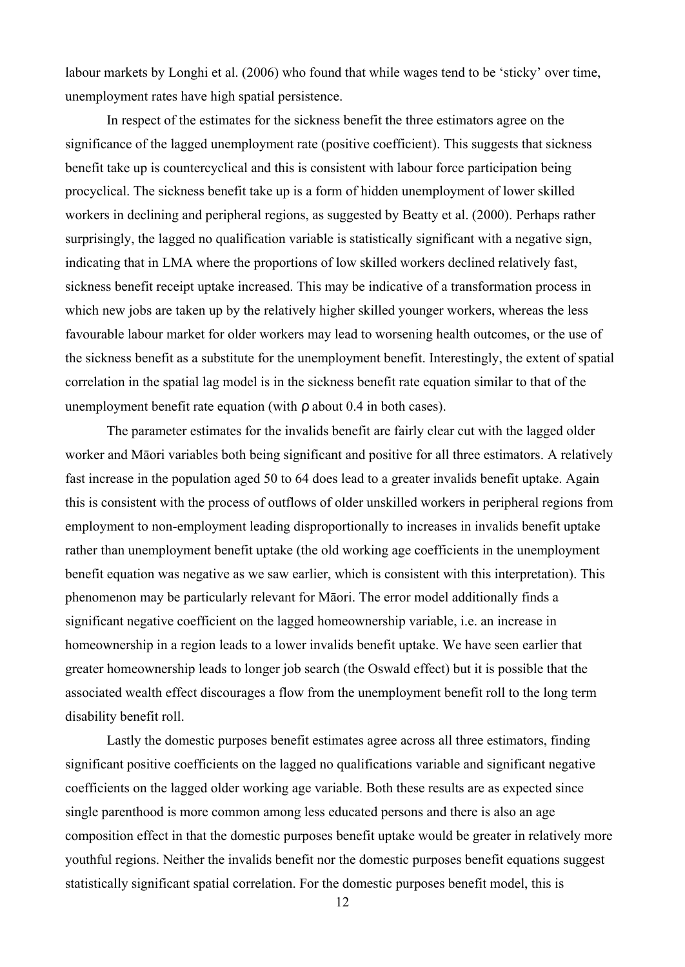labour markets by Longhi et al. (2006) who found that while wages tend to be 'sticky' over time, unemployment rates have high spatial persistence.

In respect of the estimates for the sickness benefit the three estimators agree on the significance of the lagged unemployment rate (positive coefficient). This suggests that sickness benefit take up is countercyclical and this is consistent with labour force participation being procyclical. The sickness benefit take up is a form of hidden unemployment of lower skilled workers in declining and peripheral regions, as suggested by Beatty et al. (2000). Perhaps rather surprisingly, the lagged no qualification variable is statistically significant with a negative sign, indicating that in LMA where the proportions of low skilled workers declined relatively fast, sickness benefit receipt uptake increased. This may be indicative of a transformation process in which new jobs are taken up by the relatively higher skilled younger workers, whereas the less favourable labour market for older workers may lead to worsening health outcomes, or the use of the sickness benefit as a substitute for the unemployment benefit. Interestingly, the extent of spatial correlation in the spatial lag model is in the sickness benefit rate equation similar to that of the unemployment benefit rate equation (with *r* about 0.4 in both cases).

The parameter estimates for the invalids benefit are fairly clear cut with the lagged older worker and Māori variables both being significant and positive for all three estimators. A relatively fast increase in the population aged 50 to 64 does lead to a greater invalids benefit uptake. Again this is consistent with the process of outflows of older unskilled workers in peripheral regions from employment to non-employment leading disproportionally to increases in invalids benefit uptake rather than unemployment benefit uptake (the old working age coefficients in the unemployment benefit equation was negative as we saw earlier, which is consistent with this interpretation). This phenomenon may be particularly relevant for Māori. The error model additionally finds a significant negative coefficient on the lagged homeownership variable, i.e. an increase in homeownership in a region leads to a lower invalids benefit uptake. We have seen earlier that greater homeownership leads to longer job search (the Oswald effect) but it is possible that the associated wealth effect discourages a flow from the unemployment benefit roll to the long term disability benefit roll.

Lastly the domestic purposes benefit estimates agree across all three estimators, finding significant positive coefficients on the lagged no qualifications variable and significant negative coefficients on the lagged older working age variable. Both these results are as expected since single parenthood is more common among less educated persons and there is also an age composition effect in that the domestic purposes benefit uptake would be greater in relatively more youthful regions. Neither the invalids benefit nor the domestic purposes benefit equations suggest statistically significant spatial correlation. For the domestic purposes benefit model, this is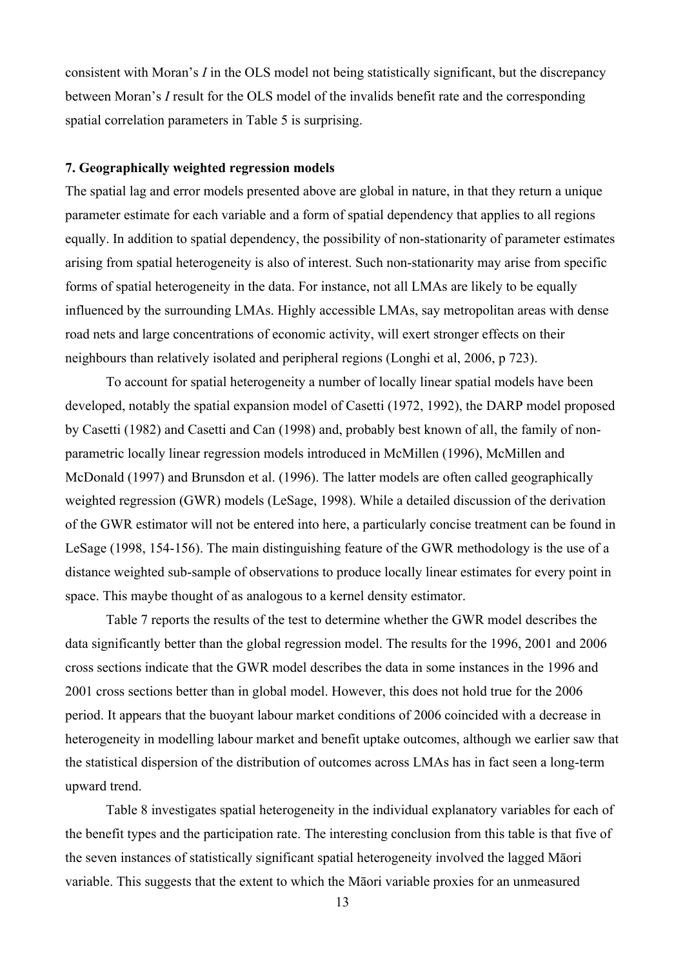consistent with Moran's *I* in the OLS model not being statistically significant, but the discrepancy between Moran's *I* result for the OLS model of the invalids benefit rate and the corresponding spatial correlation parameters in Table 5 is surprising.

## **7. Geographically weighted regression models**

The spatial lag and error models presented above are global in nature, in that they return a unique parameter estimate for each variable and a form of spatial dependency that applies to all regions equally. In addition to spatial dependency, the possibility of non-stationarity of parameter estimates arising from spatial heterogeneity is also of interest. Such non-stationarity may arise from specific forms of spatial heterogeneity in the data. For instance, not all LMAs are likely to be equally influenced by the surrounding LMAs. Highly accessible LMAs, say metropolitan areas with dense road nets and large concentrations of economic activity, will exert stronger effects on their neighbours than relatively isolated and peripheral regions (Longhi et al, 2006, p 723).

To account for spatial heterogeneity a number of locally linear spatial models have been developed, notably the spatial expansion model of Casetti (1972, 1992), the DARP model proposed by Casetti (1982) and Casetti and Can (1998) and, probably best known of all, the family of nonparametric locally linear regression models introduced in McMillen (1996), McMillen and McDonald (1997) and Brunsdon et al. (1996). The latter models are often called geographically weighted regression (GWR) models (LeSage, 1998). While a detailed discussion of the derivation of the GWR estimator will not be entered into here, a particularly concise treatment can be found in LeSage (1998, 154-156). The main distinguishing feature of the GWR methodology is the use of a distance weighted sub-sample of observations to produce locally linear estimates for every point in space. This maybe thought of as analogous to a kernel density estimator.

Table 7 reports the results of the test to determine whether the GWR model describes the data significantly better than the global regression model. The results for the 1996, 2001 and 2006 cross sections indicate that the GWR model describes the data in some instances in the 1996 and 2001 cross sections better than in global model. However, this does not hold true for the 2006 period. It appears that the buoyant labour market conditions of 2006 coincided with a decrease in heterogeneity in modelling labour market and benefit uptake outcomes, although we earlier saw that the statistical dispersion of the distribution of outcomes across LMAs has in fact seen a long-term upward trend.

Table 8 investigates spatial heterogeneity in the individual explanatory variables for each of the benefit types and the participation rate. The interesting conclusion from this table is that five of the seven instances of statistically significant spatial heterogeneity involved the lagged Māori variable. This suggests that the extent to which the Māori variable proxies for an unmeasured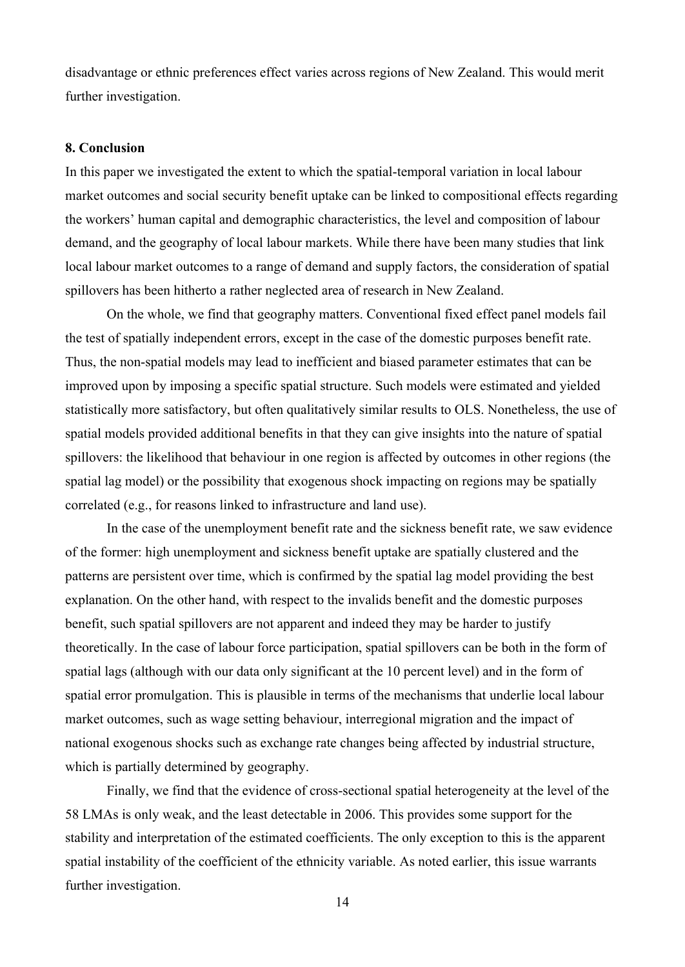disadvantage or ethnic preferences effect varies across regions of New Zealand. This would merit further investigation.

#### **8. Conclusion**

In this paper we investigated the extent to which the spatial-temporal variation in local labour market outcomes and social security benefit uptake can be linked to compositional effects regarding the workers' human capital and demographic characteristics, the level and composition of labour demand, and the geography of local labour markets. While there have been many studies that link local labour market outcomes to a range of demand and supply factors, the consideration of spatial spillovers has been hitherto a rather neglected area of research in New Zealand.

On the whole, we find that geography matters. Conventional fixed effect panel models fail the test of spatially independent errors, except in the case of the domestic purposes benefit rate. Thus, the non-spatial models may lead to inefficient and biased parameter estimates that can be improved upon by imposing a specific spatial structure. Such models were estimated and yielded statistically more satisfactory, but often qualitatively similar results to OLS. Nonetheless, the use of spatial models provided additional benefits in that they can give insights into the nature of spatial spillovers: the likelihood that behaviour in one region is affected by outcomes in other regions (the spatial lag model) or the possibility that exogenous shock impacting on regions may be spatially correlated (e.g., for reasons linked to infrastructure and land use).

In the case of the unemployment benefit rate and the sickness benefit rate, we saw evidence of the former: high unemployment and sickness benefit uptake are spatially clustered and the patterns are persistent over time, which is confirmed by the spatial lag model providing the best explanation. On the other hand, with respect to the invalids benefit and the domestic purposes benefit, such spatial spillovers are not apparent and indeed they may be harder to justify theoretically. In the case of labour force participation, spatial spillovers can be both in the form of spatial lags (although with our data only significant at the 10 percent level) and in the form of spatial error promulgation. This is plausible in terms of the mechanisms that underlie local labour market outcomes, such as wage setting behaviour, interregional migration and the impact of national exogenous shocks such as exchange rate changes being affected by industrial structure, which is partially determined by geography.

Finally, we find that the evidence of cross-sectional spatial heterogeneity at the level of the 58 LMAs is only weak, and the least detectable in 2006. This provides some support for the stability and interpretation of the estimated coefficients. The only exception to this is the apparent spatial instability of the coefficient of the ethnicity variable. As noted earlier, this issue warrants further investigation.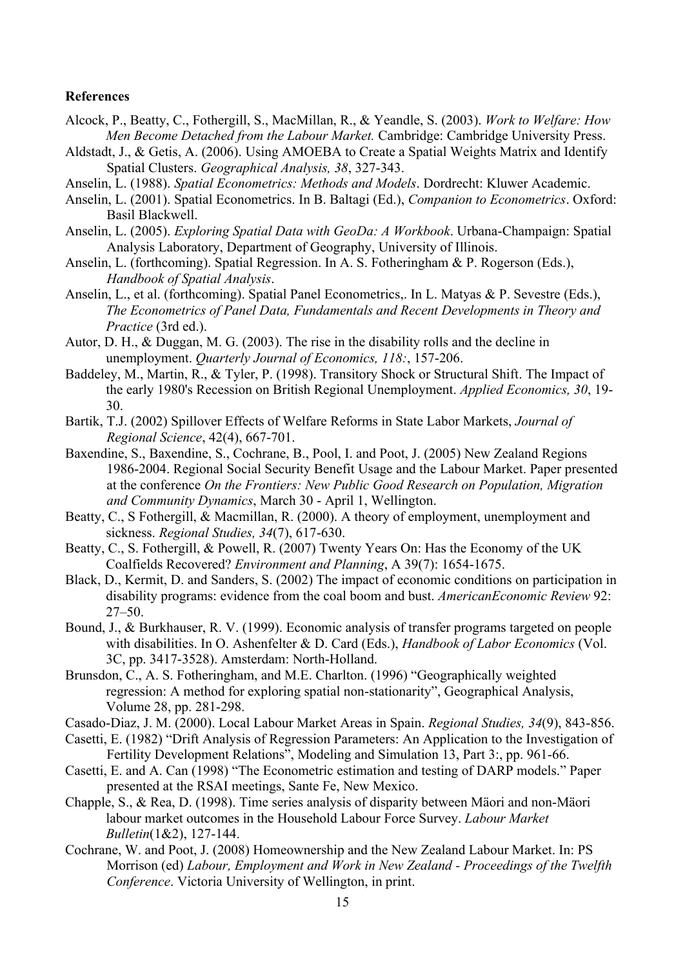#### **References**

- Alcock, P., Beatty, C., Fothergill, S., MacMillan, R., & Yeandle, S. (2003). *Work to Welfare: How Men Become Detached from the Labour Market.* Cambridge: Cambridge University Press.
- Aldstadt, J., & Getis, A. (2006). Using AMOEBA to Create a Spatial Weights Matrix and Identify Spatial Clusters. *Geographical Analysis, 38*, 327-343.
- Anselin, L. (1988). *Spatial Econometrics: Methods and Models*. Dordrecht: Kluwer Academic.
- Anselin, L. (2001). Spatial Econometrics. In B. Baltagi (Ed.), *Companion to Econometrics*. Oxford: Basil Blackwell.
- Anselin, L. (2005). *Exploring Spatial Data with GeoDa: A Workbook*. Urbana-Champaign: Spatial Analysis Laboratory, Department of Geography, University of Illinois.
- Anselin, L. (forthcoming). Spatial Regression. In A. S. Fotheringham & P. Rogerson (Eds.), *Handbook of Spatial Analysis*.
- Anselin, L., et al. (forthcoming). Spatial Panel Econometrics,. In L. Matyas & P. Sevestre (Eds.), *The Econometrics of Panel Data, Fundamentals and Recent Developments in Theory and Practice* (3rd ed.).
- Autor, D. H., & Duggan, M. G. (2003). The rise in the disability rolls and the decline in unemployment. *Quarterly Journal of Economics, 118:*, 157-206.
- Baddeley, M., Martin, R., & Tyler, P. (1998). Transitory Shock or Structural Shift. The Impact of the early 1980's Recession on British Regional Unemployment. *Applied Economics, 30*, 19- 30.
- Bartik, T.J. (2002) Spillover Effects of Welfare Reforms in State Labor Markets, *Journal of Regional Science*, 42(4), 667-701.
- Baxendine, S., Baxendine, S., Cochrane, B., Pool, I. and Poot, J. (2005) New Zealand Regions 1986-2004. Regional Social Security Benefit Usage and the Labour Market. Paper presented at the conference *On the Frontiers: New Public Good Research on Population, Migration and Community Dynamics*, March 30 - April 1, Wellington.
- Beatty, C., S Fothergill, & Macmillan, R. (2000). A theory of employment, unemployment and sickness. *Regional Studies, 34*(7), 617-630.
- Beatty, C., S. Fothergill, & Powell, R. (2007) Twenty Years On: Has the Economy of the UK Coalfields Recovered? *Environment and Planning*, A 39(7): 1654-1675.
- Black, D., Kermit, D. and Sanders, S. (2002) The impact of economic conditions on participation in disability programs: evidence from the coal boom and bust. *AmericanEconomic Review* 92: 27–50.
- Bound, J., & Burkhauser, R. V. (1999). Economic analysis of transfer programs targeted on people with disabilities. In O. Ashenfelter & D. Card (Eds.), *Handbook of Labor Economics* (Vol. 3C, pp. 3417-3528). Amsterdam: North-Holland.
- Brunsdon, C., A. S. Fotheringham, and M.E. Charlton. (1996) "Geographically weighted regression: A method for exploring spatial non-stationarity", Geographical Analysis, Volume 28, pp. 281-298.
- Casado-Diaz, J. M. (2000). Local Labour Market Areas in Spain. *Regional Studies, 34*(9), 843-856.
- Casetti, E. (1982) "Drift Analysis of Regression Parameters: An Application to the Investigation of Fertility Development Relations", Modeling and Simulation 13, Part 3:, pp. 961-66.
- Casetti, E. and A. Can (1998) "The Econometric estimation and testing of DARP models." Paper presented at the RSAI meetings, Sante Fe, New Mexico.
- Chapple, S., & Rea, D. (1998). Time series analysis of disparity between Mäori and non-Mäori labour market outcomes in the Household Labour Force Survey. *Labour Market Bulletin*(1&2), 127-144.
- Cochrane, W. and Poot, J. (2008) Homeownership and the New Zealand Labour Market. In: PS Morrison (ed) *Labour, Employment and Work in New Zealand - Proceedings of the Twelfth Conference*. Victoria University of Wellington, in print.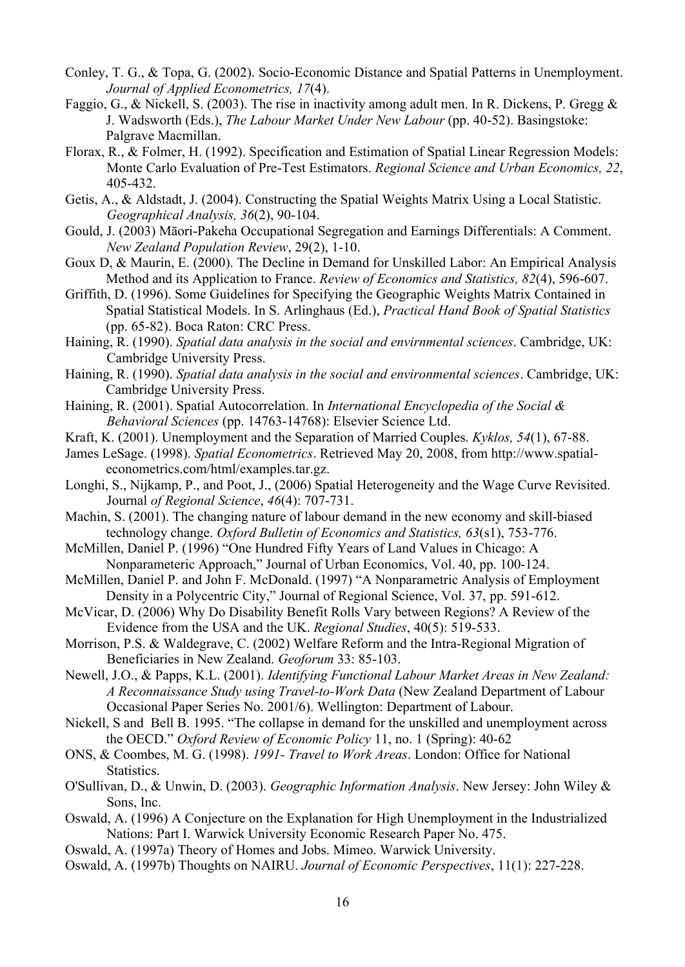- Conley, T. G., & Topa, G. (2002). Socio-Economic Distance and Spatial Patterns in Unemployment. *Journal of Applied Econometrics, 17*(4).
- Faggio, G., & Nickell, S. (2003). The rise in inactivity among adult men. In R. Dickens, P. Gregg & J. Wadsworth (Eds.), *The Labour Market Under New Labour* (pp. 40-52). Basingstoke: Palgrave Macmillan.
- Florax, R., & Folmer, H. (1992). Specification and Estimation of Spatial Linear Regression Models: Monte Carlo Evaluation of Pre-Test Estimators. *Regional Science and Urban Economics, 22*, 405-432.
- Getis, A., & Aldstadt, J. (2004). Constructing the Spatial Weights Matrix Using a Local Statistic. *Geographical Analysis, 36*(2), 90-104.
- Gould, J. (2003) Māori-Pakeha Occupational Segregation and Earnings Differentials: A Comment. *New Zealand Population Review*, 29(2), 1-10.
- Goux D, & Maurin, E. (2000). The Decline in Demand for Unskilled Labor: An Empirical Analysis Method and its Application to France. *Review of Economics and Statistics, 82*(4), 596-607.
- Griffith, D. (1996). Some Guidelines for Specifying the Geographic Weights Matrix Contained in Spatial Statistical Models. In S. Arlinghaus (Ed.), *Practical Hand Book of Spatial Statistics* (pp. 65-82). Boca Raton: CRC Press.
- Haining, R. (1990). *Spatial data analysis in the social and envirnmental sciences*. Cambridge, UK: Cambridge University Press.
- Haining, R. (1990). *Spatial data analysis in the social and environmental sciences*. Cambridge, UK: Cambridge University Press.
- Haining, R. (2001). Spatial Autocorrelation. In *International Encyclopedia of the Social & Behavioral Sciences* (pp. 14763-14768): Elsevier Science Ltd.
- Kraft, K. (2001). Unemployment and the Separation of Married Couples. *Kyklos, 54*(1), 67-88.
- James LeSage. (1998). *Spatial Econometrics*. Retrieved May 20, 2008, from http://www.spatialeconometrics.com/html/examples.tar.gz.
- Longhi, S., Nijkamp, P., and Poot, J., (2006) Spatial Heterogeneity and the Wage Curve Revisited. Journal *of Regional Science*, *46*(4): 707-731.
- Machin, S. (2001). The changing nature of labour demand in the new economy and skill-biased technology change. *Oxford Bulletin of Economics and Statistics, 63*(s1), 753-776.
- McMillen, Daniel P. (1996) "One Hundred Fifty Years of Land Values in Chicago: A Nonparameteric Approach," Journal of Urban Economics, Vol. 40, pp. 100-124.
- McMillen, Daniel P. and John F. McDonald. (1997) "A Nonparametric Analysis of Employment Density in a Polycentric City," Journal of Regional Science, Vol. 37, pp. 591-612.
- McVicar, D. (2006) Why Do Disability Benefit Rolls Vary between Regions? A Review of the Evidence from the USA and the UK. *Regional Studies*, 40(5): 519-533.
- Morrison, P.S. & Waldegrave, C. (2002) Welfare Reform and the Intra-Regional Migration of Beneficiaries in New Zealand. *Geoforum* 33: 85-103.
- Newell, J.O., & Papps, K.L. (2001). *Identifying Functional Labour Market Areas in New Zealand: A Reconnaissance Study using Travel-to-Work Data* (New Zealand Department of Labour Occasional Paper Series No. 2001/6). Wellington: Department of Labour.
- Nickell, S and Bell B. 1995. "The collapse in demand for the unskilled and unemployment across the OECD." *Oxford Review of Economic Policy* 11, no. 1 (Spring): 40-62
- ONS, & Coombes, M. G. (1998). *1991- Travel to Work Areas*. London: Office for National Statistics.
- O'Sullivan, D., & Unwin, D. (2003). *Geographic Information Analysis*. New Jersey: John Wiley & Sons, Inc.
- Oswald, A. (1996) A Conjecture on the Explanation for High Unemployment in the Industrialized Nations: Part I. Warwick University Economic Research Paper No. 475.
- Oswald, A. (1997a) Theory of Homes and Jobs. Mimeo. Warwick University.
- Oswald, A. (1997b) Thoughts on NAIRU. *Journal of Economic Perspectives*, 11(1): 227-228.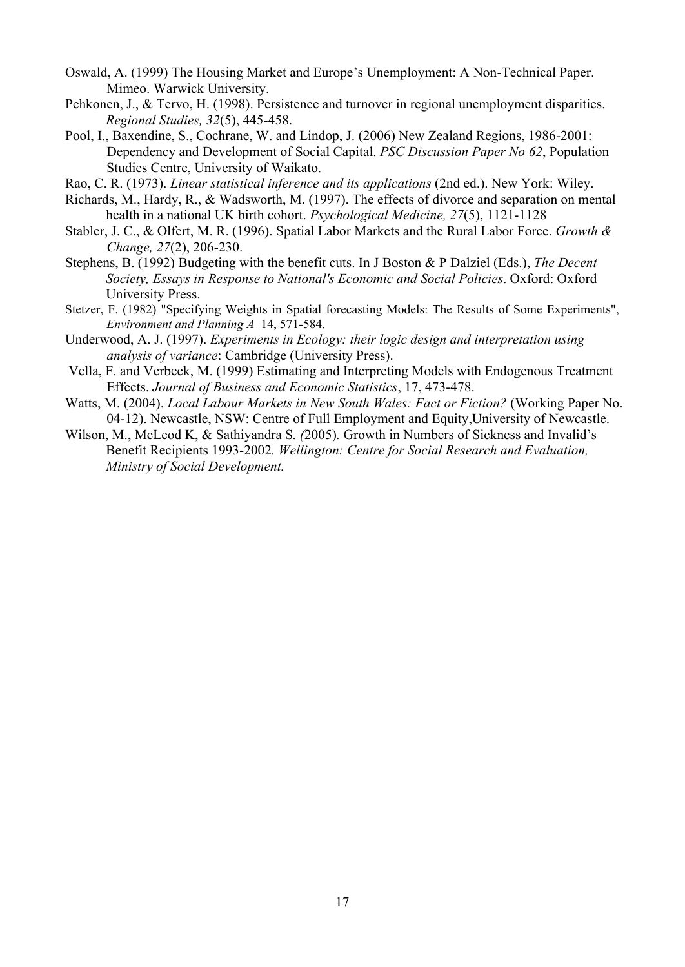- Oswald, A. (1999) The Housing Market and Europe's Unemployment: A Non-Technical Paper. Mimeo. Warwick University.
- Pehkonen, J., & Tervo, H. (1998). Persistence and turnover in regional unemployment disparities. *Regional Studies, 32*(5), 445-458.
- Pool, I., Baxendine, S., Cochrane, W. and Lindop, J. (2006) New Zealand Regions, 1986-2001: Dependency and Development of Social Capital. *PSC Discussion Paper No 62*, Population Studies Centre, University of Waikato.
- Rao, C. R. (1973). *Linear statistical inference and its applications* (2nd ed.). New York: Wiley.
- Richards, M., Hardy, R., & Wadsworth, M. (1997). The effects of divorce and separation on mental health in a national UK birth cohort. *Psychological Medicine, 27*(5), 1121-1128
- Stabler, J. C., & Olfert, M. R. (1996). Spatial Labor Markets and the Rural Labor Force. *Growth & Change, 27*(2), 206-230.
- Stephens, B. (1992) Budgeting with the benefit cuts. In J Boston & P Dalziel (Eds.), *The Decent Society, Essays in Response to National's Economic and Social Policies*. Oxford: Oxford University Press.
- Stetzer, F. (1982) "Specifying Weights in Spatial forecasting Models: The Results of Some Experiments", *Environment and Planning A* 14, 571-584.
- Underwood, A. J. (1997). *Experiments in Ecology: their logic design and interpretation using analysis of variance*: Cambridge (University Press).
- Vella, F. and Verbeek, M. (1999) Estimating and Interpreting Models with Endogenous Treatment Effects. *Journal of Business and Economic Statistics*, 17, 473-478.
- Watts, M. (2004). *Local Labour Markets in New South Wales: Fact or Fiction?* (Working Paper No. 04-12). Newcastle, NSW: Centre of Full Employment and Equity,University of Newcastle.
- Wilson, M., McLeod K, & Sathiyandra S*. (*2005)*.* Growth in Numbers of Sickness and Invalid's Benefit Recipients 1993-2002*. Wellington: Centre for Social Research and Evaluation, Ministry of Social Development.*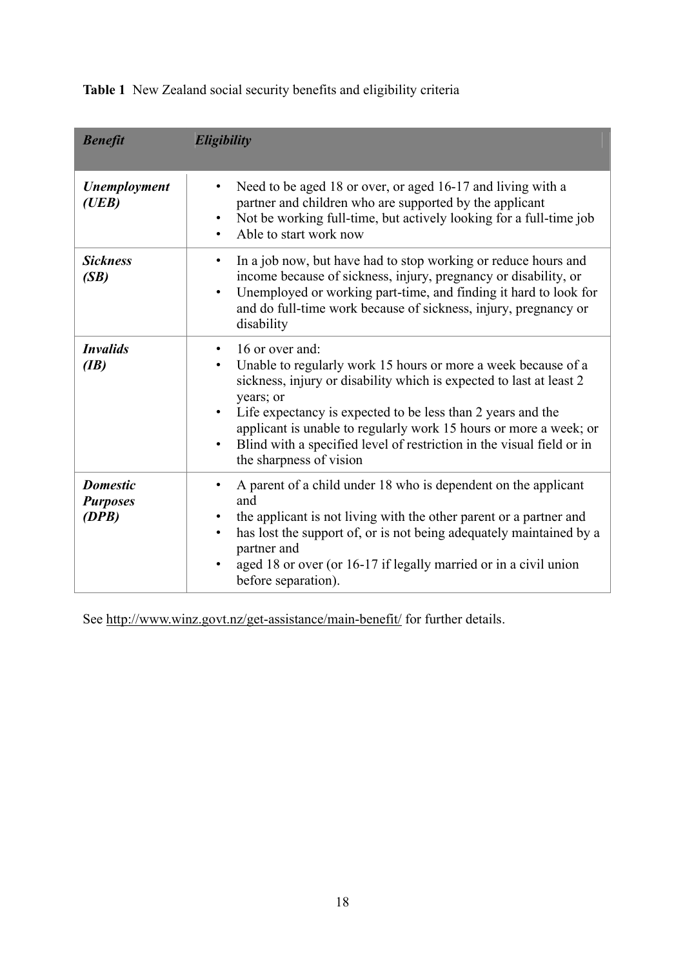**Table 1** New Zealand social security benefits and eligibility criteria

| <b>Benefit</b>                              | Eligibility                                                                                                                                                                                                                                                                                                                                                                                                               |
|---------------------------------------------|---------------------------------------------------------------------------------------------------------------------------------------------------------------------------------------------------------------------------------------------------------------------------------------------------------------------------------------------------------------------------------------------------------------------------|
| Unemployment<br>(UEB)                       | Need to be aged 18 or over, or aged 16-17 and living with a<br>$\bullet$<br>partner and children who are supported by the applicant<br>Not be working full-time, but actively looking for a full-time job<br>Able to start work now                                                                                                                                                                                       |
| <b>Sickness</b><br>(SB)                     | In a job now, but have had to stop working or reduce hours and<br>$\bullet$<br>income because of sickness, injury, pregnancy or disability, or<br>Unemployed or working part-time, and finding it hard to look for<br>$\bullet$<br>and do full-time work because of sickness, injury, pregnancy or<br>disability                                                                                                          |
| <i><b>Invalids</b></i><br>(IB)              | 16 or over and:<br>$\bullet$<br>Unable to regularly work 15 hours or more a week because of a<br>sickness, injury or disability which is expected to last at least 2<br>years; or<br>Life expectancy is expected to be less than 2 years and the<br>applicant is unable to regularly work 15 hours or more a week; or<br>Blind with a specified level of restriction in the visual field or in<br>the sharpness of vision |
| <b>Domestic</b><br><b>Purposes</b><br>(DPB) | A parent of a child under 18 who is dependent on the applicant<br>$\bullet$<br>and<br>the applicant is not living with the other parent or a partner and<br>has lost the support of, or is not being adequately maintained by a<br>partner and<br>aged 18 or over (or 16-17 if legally married or in a civil union<br>before separation).                                                                                 |

See http://www.winz.govt.nz/get-assistance/main-benefit/ for further details.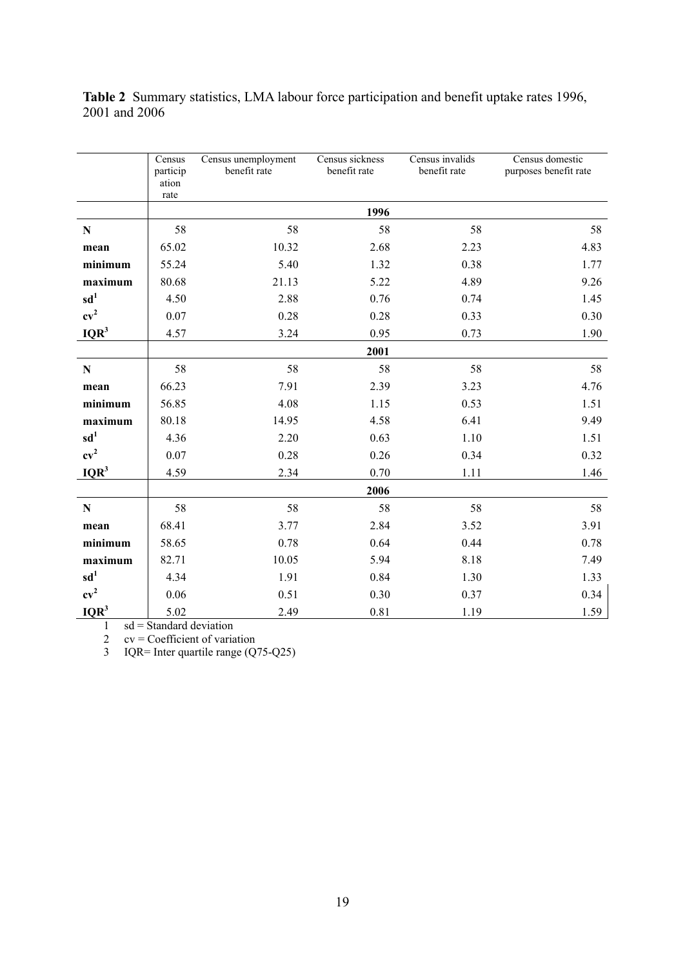**Census** particip ation rate Census unemployment benefit rate Census sickness benefit rate Census invalids benefit rate Census domestic purposes benefit rate **1996 N** 58 58 58 58 58 58 **mean** 65.02 10.32 2.68 2.23 4.83 **minimum** 55.24 5.40 1.32 0.38 1.77 **maximum** 80.68 21.13 5.22 4.89 9.26 **sd<sup>1</sup>** 4.50 2.88 0.76 0.74 1.45 **cv<sup>2</sup>** 0.07 0.28 0.28 0.33 0.30 **IQR<sup>3</sup>** 4.57 3.24 0.95 0.73 1.90 **2001 N** 58 58 58 58 58 58 **mean** 66.23 7.91 2.39 3.23 4.76 **minimum** 56.85 4.08 1.15 0.53 1.51 **maximum** 80.18 14.95 4.58 6.41 9.49 **sd<sup>1</sup>** 4.36 2.20 0.63 1.10 1.51 **cv<sup>2</sup>** 0.07 0.28 0.26 0.34 0.32 **IQR<sup>3</sup>** 4.59 2.34 0.70 1.11 1.46 **2006 N** 58 58 58 58 58 58 **mean** 68.41 3.77 2.84 3.52 3.91 **minimum** 58.65 0.78 0.64 0.44 0.78 **maximum** 82.71 10.05 5.94 8.18 7.49 **sd<sup>1</sup>** 4.34 1.91 0.84 1.30 1.33  $cv^2$ 0.06 0.51 0.30 0.37 0.34 **IQR<sup>3</sup>** 5.02 2.49 0.81 1.19 1.59

**Table 2** Summary statistics, LMA labour force participation and benefit uptake rates 1996, 2001 and 2006

 $1$  sd = Standard deviation

2 cv = Coefficient of variation<br>3 IQR= Inter quartile range (Q

3 IQR= Inter quartile range (Q75-Q25)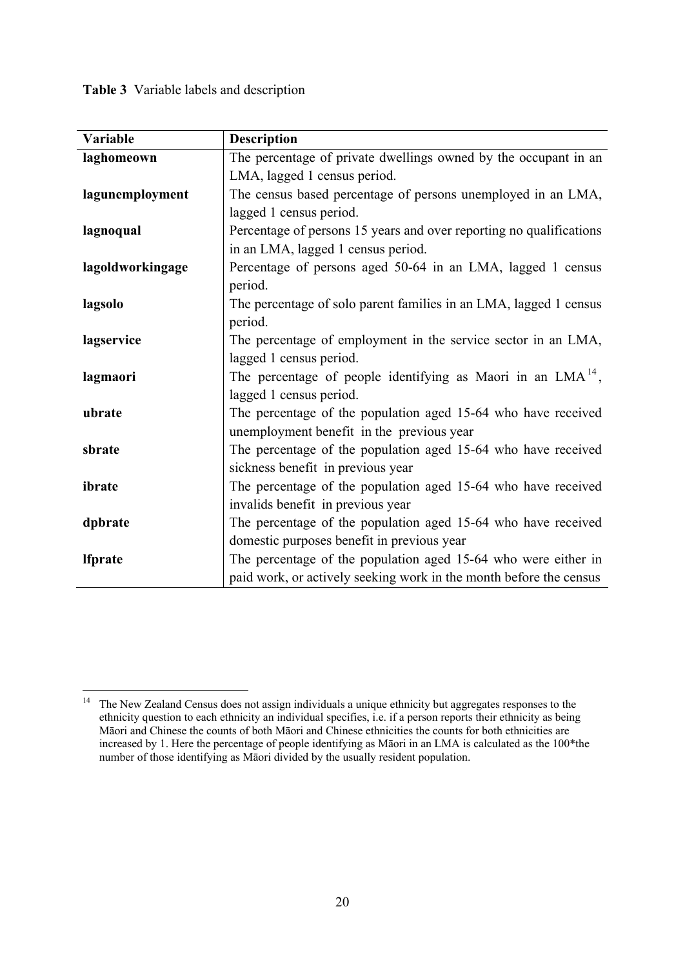**Table 3** Variable labels and description

| Variable         | <b>Description</b>                                                  |
|------------------|---------------------------------------------------------------------|
| laghomeown       | The percentage of private dwellings owned by the occupant in an     |
|                  | LMA, lagged 1 census period.                                        |
| lagunemployment  | The census based percentage of persons unemployed in an LMA,        |
|                  | lagged 1 census period.                                             |
| lagnoqual        | Percentage of persons 15 years and over reporting no qualifications |
|                  | in an LMA, lagged 1 census period.                                  |
| lagoldworkingage | Percentage of persons aged 50-64 in an LMA, lagged 1 census         |
|                  | period.                                                             |
| lagsolo          | The percentage of solo parent families in an LMA, lagged 1 census   |
|                  | period.                                                             |
| lagservice       | The percentage of employment in the service sector in an LMA,       |
|                  | lagged 1 census period.                                             |
| lagmaori         | The percentage of people identifying as Maori in an $LMA14$ ,       |
|                  | lagged 1 census period.                                             |
| ubrate           | The percentage of the population aged 15-64 who have received       |
|                  | unemployment benefit in the previous year                           |
| sbrate           | The percentage of the population aged 15-64 who have received       |
|                  | sickness benefit in previous year                                   |
| ibrate           | The percentage of the population aged 15-64 who have received       |
|                  | invalids benefit in previous year                                   |
| dpbrate          | The percentage of the population aged 15-64 who have received       |
|                  | domestic purposes benefit in previous year                          |
| <b>Ifprate</b>   | The percentage of the population aged 15-64 who were either in      |
|                  | paid work, or actively seeking work in the month before the census  |

 $14$ The New Zealand Census does not assign individuals a unique ethnicity but aggregates responses to the ethnicity question to each ethnicity an individual specifies, i.e. if a person reports their ethnicity as being Māori and Chinese the counts of both Māori and Chinese ethnicities the counts for both ethnicities are increased by 1. Here the percentage of people identifying as Māori in an LMA is calculated as the 100\*the number of those identifying as Māori divided by the usually resident population.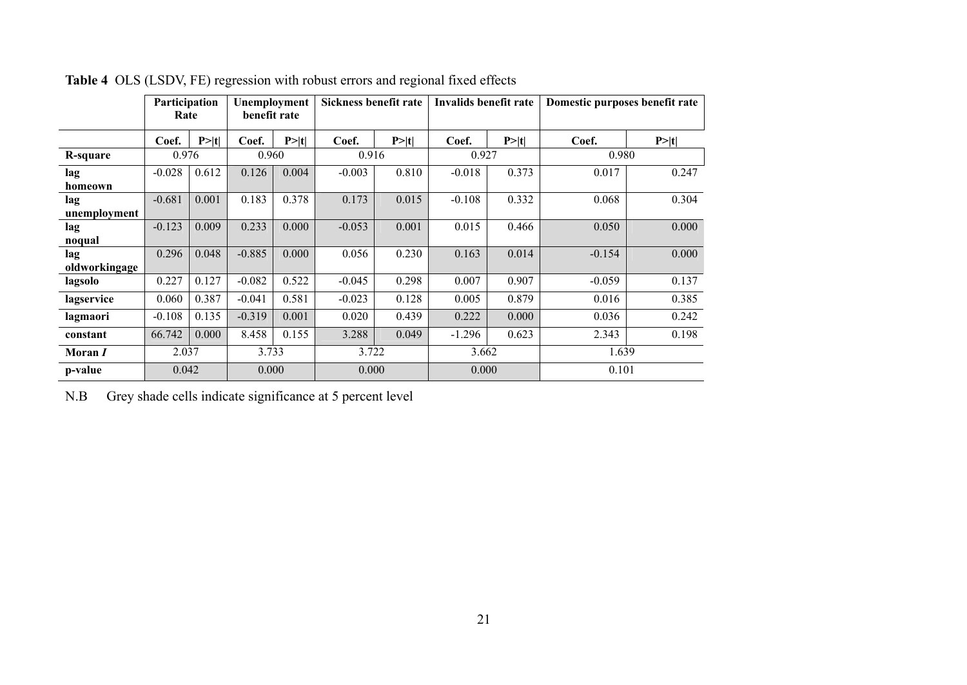|                | Participation<br>Rate |        | Unemployment<br>benefit rate |        | Sickness benefit rate |        | Invalids benefit rate |       | Domestic purposes benefit rate |       |  |  |
|----------------|-----------------------|--------|------------------------------|--------|-----------------------|--------|-----------------------|-------|--------------------------------|-------|--|--|
|                | Coef.                 | P >  t | Coef.                        | P >  t | Coef.                 | P >  t | Coef.                 | P> t  | Coef.                          | P> t  |  |  |
| R-square       | 0.976                 |        | 0.960                        |        | 0.916                 |        | 0.927                 |       | 0.980                          |       |  |  |
| lag            | $-0.028$              | 0.612  | 0.126                        | 0.004  | $-0.003$              | 0.810  | $-0.018$              | 0.373 | 0.017                          | 0.247 |  |  |
| homeown        |                       |        |                              |        |                       |        |                       |       |                                |       |  |  |
| lag            | $-0.681$              | 0.001  | 0.183                        | 0.378  | 0.173                 | 0.015  | $-0.108$              | 0.332 | 0.068                          | 0.304 |  |  |
| unemployment   |                       |        |                              |        |                       |        |                       |       |                                |       |  |  |
| lag            | $-0.123$              | 0.009  | 0.233                        | 0.000  | $-0.053$              | 0.001  | 0.015                 | 0.466 | 0.050                          | 0.000 |  |  |
| noqual         |                       |        |                              |        |                       |        |                       |       |                                |       |  |  |
| lag            | 0.296                 | 0.048  | $-0.885$                     | 0.000  | 0.056                 | 0.230  | 0.163                 | 0.014 | $-0.154$                       | 0.000 |  |  |
| oldworkingage  |                       |        |                              |        |                       |        |                       |       |                                |       |  |  |
| lagsolo        | 0.227                 | 0.127  | $-0.082$                     | 0.522  | $-0.045$              | 0.298  | 0.007                 | 0.907 | $-0.059$                       | 0.137 |  |  |
| lagservice     | 0.060                 | 0.387  | $-0.041$                     | 0.581  | $-0.023$              | 0.128  | 0.005                 | 0.879 | 0.016                          | 0.385 |  |  |
| lagmaori       | $-0.108$              | 0.135  | $-0.319$                     | 0.001  | 0.020                 | 0.439  | 0.222                 | 0.000 | 0.036                          | 0.242 |  |  |
| constant       | 66.742                | 0.000  | 8.458                        | 0.155  | 3.288                 | 0.049  | $-1.296$              | 0.623 | 2.343                          | 0.198 |  |  |
| Moran <i>I</i> | 2.037                 |        | 3.733                        |        | 3.722                 |        | 3.662                 |       | 1.639                          |       |  |  |
| p-value        | 0.042                 |        | 0.000                        |        | 0.000                 |        | 0.000                 |       | 0.101                          |       |  |  |

**Table 4** OLS (LSDV, FE) regression with robust errors and regional fixed effects

N.B Grey shade cells indicate significance at 5 percent level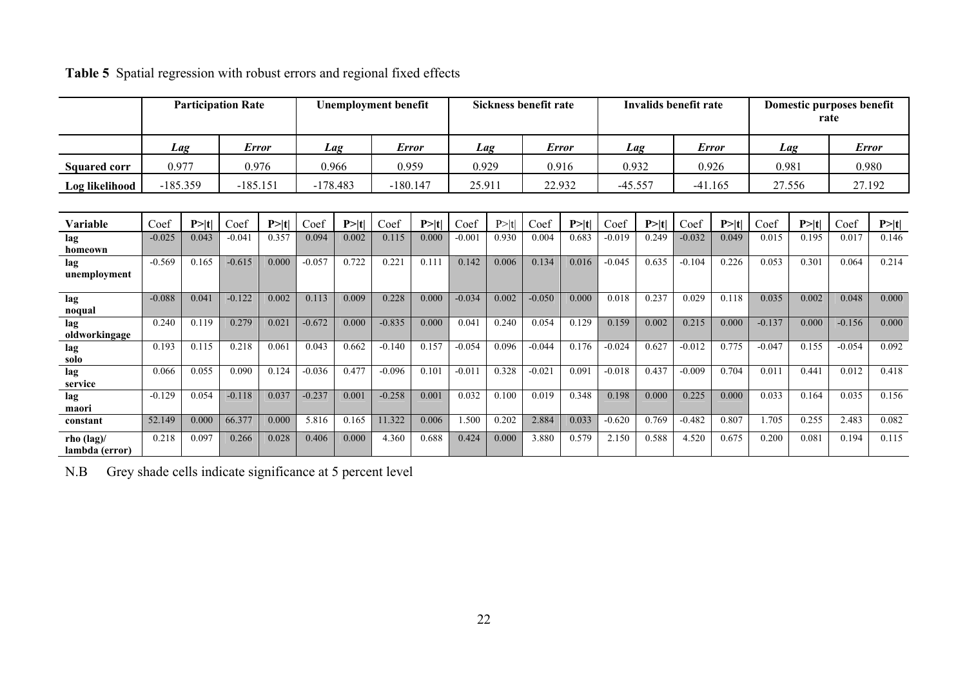|                                        | <b>Participation Rate</b><br><b>Unemployment benefit</b> |        |              |        |            | Sickness benefit rate |              |            |          | Invalids benefit rate |          |              |           | Domestic purposes benefit<br>rate |          |              |          |        |              |        |
|----------------------------------------|----------------------------------------------------------|--------|--------------|--------|------------|-----------------------|--------------|------------|----------|-----------------------|----------|--------------|-----------|-----------------------------------|----------|--------------|----------|--------|--------------|--------|
|                                        | Lag                                                      |        | <b>Error</b> |        |            | Lag                   | <b>Error</b> |            | Lag      |                       |          | <b>Error</b> |           | Lag                               |          | <b>Error</b> | Lag      |        | <b>Error</b> |        |
| <b>Squared corr</b>                    | 0.977                                                    |        | 0.976        |        | 0.966      |                       | 0.959        |            | 0.929    |                       | 0.916    |              | 0.932     |                                   |          | 0.926        | 0.981    |        | 0.980        |        |
| Log likelihood                         | $-185.359$                                               |        | $-185.151$   |        | $-178.483$ |                       |              | $-180.147$ | 25.911   |                       | 22.932   |              | $-45.557$ |                                   |          | $-41.165$    | 27.556   |        | 27.192       |        |
|                                        |                                                          |        |              |        |            |                       |              |            |          |                       |          |              |           |                                   |          |              |          |        |              |        |
| Variable                               | Coef                                                     | P >  t | Coef         | P >  t | Coef       | P >  t                | Coef         | P >  t     | Coef     | P >  t                | Coef     | P> t         | Coef      | P >  t                            | Coef     | P >  t       | Coef     | P >  t | Coef         | P >  t |
| lag<br>homeown                         | $-0.025$                                                 | 0.043  | $-0.041$     | 0.357  | 0.094      | 0.002                 | 0.115        | 0.000      | $-0.001$ | 0.930                 | 0.004    | 0.683        | $-0.019$  | 0.249                             | $-0.032$ | 0.049        | 0.015    | 0.195  | 0.017        | 0.146  |
| lag<br>unemployment                    | $-0.569$                                                 | 0.165  | $-0.615$     | 0.000  | $-0.057$   | 0.722                 | 0.221        | 0.111      | 0.142    | 0.006                 | 0.134    | 0.016        | $-0.045$  | 0.635                             | $-0.104$ | 0.226        | 0.053    | 0.301  | 0.064        | 0.214  |
| lag<br>noqual                          | $-0.088$                                                 | 0.041  | $-0.122$     | 0.002  | 0.113      | 0.009                 | 0.228        | 0.000      | $-0.034$ | 0.002                 | $-0.050$ | 0.000        | 0.018     | 0.237                             | 0.029    | 0.118        | 0.035    | 0.002  | 0.048        | 0.000  |
| lag<br>oldworkingage                   | 0.240                                                    | 0.119  | 0.279        | 0.021  | $-0.672$   | 0.000                 | $-0.835$     | 0.000      | 0.041    | 0.240                 | 0.054    | 0.129        | 0.159     | 0.002                             | 0.215    | 0.000        | $-0.137$ | 0.000  | $-0.156$     | 0.000  |
| lag<br>solo                            | 0.193                                                    | 0.115  | 0.218        | 0.061  | 0.043      | 0.662                 | $-0.140$     | 0.157      | $-0.054$ | 0.096                 | $-0.044$ | 0.176        | $-0.024$  | 0.627                             | $-0.012$ | 0.775        | $-0.047$ | 0.155  | $-0.054$     | 0.092  |
| lag<br>service                         | 0.066                                                    | 0.055  | 0.090        | 0.124  | $-0.036$   | 0.477                 | $-0.096$     | 0.101      | $-0.011$ | 0.328                 | $-0.021$ | 0.091        | $-0.018$  | 0.437                             | $-0.009$ | 0.704        | 0.011    | 0.441  | 0.012        | 0.418  |
| lag<br>maori                           | $-0.129$                                                 | 0.054  | $-0.118$     | 0.037  | $-0.237$   | 0.001                 | $-0.258$     | 0.001      | 0.032    | 0.100                 | 0.019    | 0.348        | 0.198     | 0.000                             | 0.225    | 0.000        | 0.033    | 0.164  | 0.035        | 0.156  |
| constant                               | 52.149                                                   | 0.000  | 66.377       | 0.000  | 5.816      | 0.165                 | 11.322       | 0.006      | 1.500    | 0.202                 | 2.884    | 0.033        | $-0.620$  | 0.769                             | $-0.482$ | 0.807        | 1.705    | 0.255  | 2.483        | 0.082  |
| rho $(\text{lag})$ /<br>lambda (error) | 0.218                                                    | 0.097  | 0.266        | 0.028  | 0.406      | 0.000                 | 4.360        | 0.688      | 0.424    | 0.000                 | 3.880    | 0.579        | 2.150     | 0.588                             | 4.520    | 0.675        | 0.200    | 0.081  | 0.194        | 0.115  |

## **Table 5** Spatial regression with robust errors and regional fixed effects

N.B Grey shade cells indicate significance at 5 percent level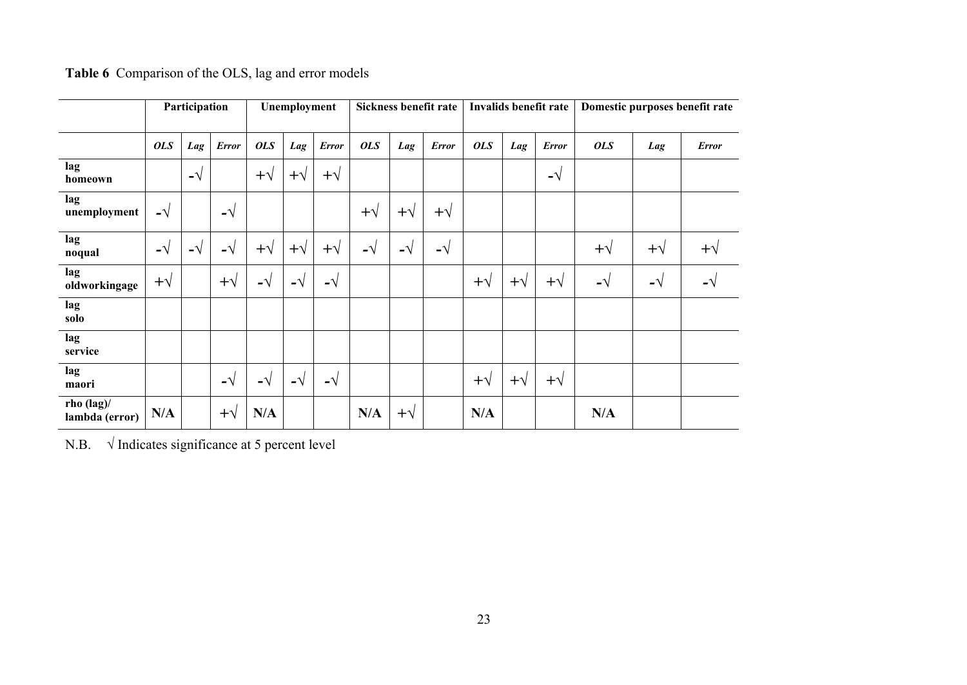|                                        | Participation |             |              | Unemployment |             |              | Sickness benefit rate |            |              | Invalids benefit rate |            |              | Domestic purposes benefit rate |            |              |  |
|----------------------------------------|---------------|-------------|--------------|--------------|-------------|--------------|-----------------------|------------|--------------|-----------------------|------------|--------------|--------------------------------|------------|--------------|--|
|                                        | <b>OLS</b>    | Lag         | <b>Error</b> | <b>OLS</b>   | Lag         | <b>Error</b> | <b>OLS</b>            | Lag        | <b>Error</b> | <b>OLS</b>            | Lag        | <b>Error</b> | <b>OLS</b>                     | Lag        | <b>Error</b> |  |
| lag<br>homeown                         |               | $-\sqrt{ }$ |              | $+\sqrt{}$   | $+\sqrt{}$  | $+\sqrt{}$   |                       |            |              |                       |            | -√           |                                |            |              |  |
| lag<br>unemployment                    | $-\sqrt{ }$   |             | –√           |              |             |              | $+\sqrt{}$            | $+\sqrt{}$ | $+\sqrt{}$   |                       |            |              |                                |            |              |  |
| lag<br>noqual                          | $-\sqrt{ }$   | $-\sqrt{ }$ | –√           | $+\sqrt{}$   | $+\sqrt{}$  | $+\sqrt{}$   | $-\sqrt{}$            | $-\sqrt{}$ | $-\sqrt{ }$  |                       |            |              | $+\sqrt{}$                     | $+\sqrt{}$ | $+\sqrt{}$   |  |
| lag<br>oldworkingage                   | $+\sqrt{}$    |             | $+\sqrt{}$   | -√           | $-\sqrt{ }$ | $-\sqrt{ }$  |                       |            |              | $+\sqrt{}$            | $+\sqrt{}$ | $+\sqrt{}$   | -√                             | -√         | $-\sqrt{}$   |  |
| lag<br>solo                            |               |             |              |              |             |              |                       |            |              |                       |            |              |                                |            |              |  |
| lag<br>service                         |               |             |              |              |             |              |                       |            |              |                       |            |              |                                |            |              |  |
| lag<br>maori                           |               |             | $-\sqrt{}$   | $-\sqrt{}$   | -√          | $-\sqrt{ }$  |                       |            |              | $+\sqrt{}$            | $+\sqrt{}$ | $+\sqrt{}$   |                                |            |              |  |
| rho $(\text{lag})$ /<br>lambda (error) | N/A           |             | $+\sqrt{}$   | N/A          |             |              | N/A                   | $+\sqrt{}$ |              | N/A                   |            |              | N/A                            |            |              |  |

**Table 6** Comparison of the OLS, lag and error models

N.B.  $\sqrt{\text{Indicates significance at 5 percent level}}$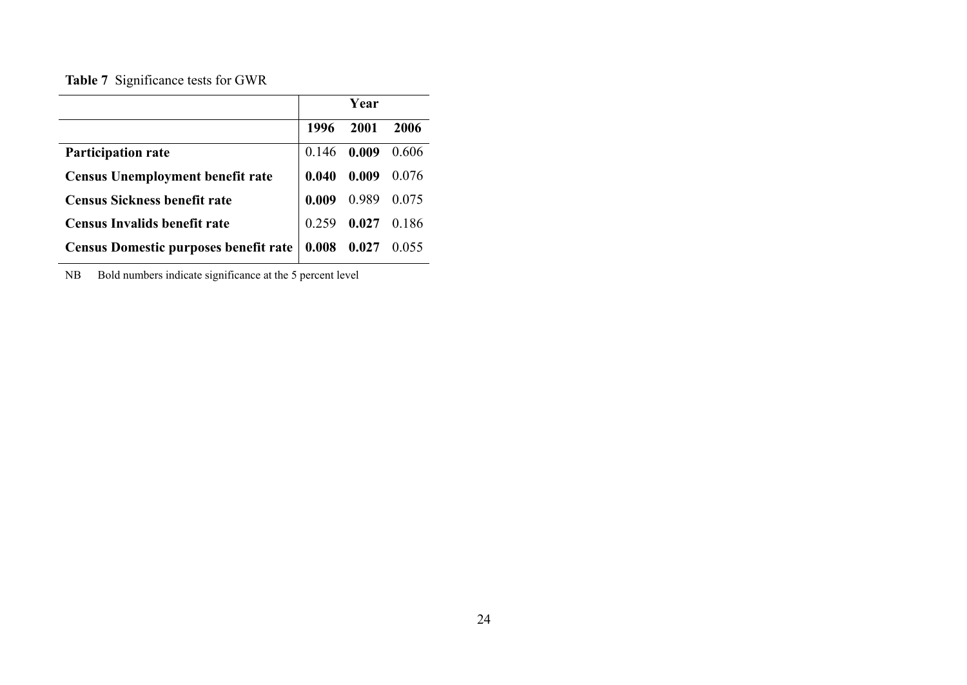**Table 7** Significance tests for GWR

|                                         |       | Year                |      |
|-----------------------------------------|-------|---------------------|------|
|                                         | 1996  | 2001                | 2006 |
| <b>Participation rate</b>               |       | $0.146$ 0.009 0.606 |      |
| <b>Census Unemployment benefit rate</b> | 0.040 | $0.009$ 0.076       |      |
| <b>Census Sickness benefit rate</b>     |       | $0.009$ 0.989 0.075 |      |
| <b>Census Invalids benefit rate</b>     | 0.259 | $0.027$ 0.186       |      |
| Census Domestic purposes benefit rate   | 0.008 | $0.027$ 0.055       |      |

NB Bold numbers indicate significance at the 5 percent level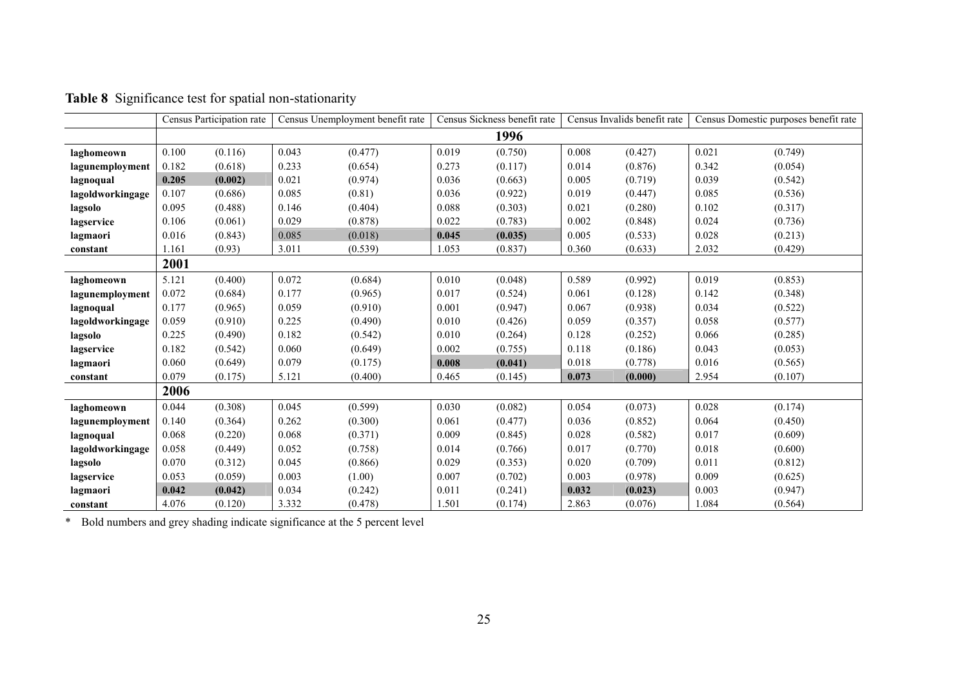|                  |       | Census Participation rate |       | Census Unemployment benefit rate |       | Census Sickness benefit rate |       | Census Invalids benefit rate | Census Domestic purposes benefit rate |         |
|------------------|-------|---------------------------|-------|----------------------------------|-------|------------------------------|-------|------------------------------|---------------------------------------|---------|
|                  |       |                           |       |                                  |       | 1996                         |       |                              |                                       |         |
| laghomeown       | 0.100 | (0.116)                   | 0.043 | (0.477)                          | 0.019 | (0.750)                      | 0.008 | (0.427)                      | 0.021                                 | (0.749) |
| lagunemployment  | 0.182 | (0.618)                   | 0.233 | (0.654)                          | 0.273 | (0.117)                      | 0.014 | (0.876)                      | 0.342                                 | (0.054) |
| lagnoqual        | 0.205 | (0.002)                   | 0.021 | (0.974)                          | 0.036 | (0.663)                      | 0.005 | (0.719)                      | 0.039                                 | (0.542) |
| lagoldworkingage | 0.107 | (0.686)                   | 0.085 | (0.81)                           | 0.036 | (0.922)                      | 0.019 | (0.447)                      | 0.085                                 | (0.536) |
| lagsolo          | 0.095 | (0.488)                   | 0.146 | (0.404)                          | 0.088 | (0.303)                      | 0.021 | (0.280)                      | 0.102                                 | (0.317) |
| lagservice       | 0.106 | (0.061)                   | 0.029 | (0.878)                          | 0.022 | (0.783)                      | 0.002 | (0.848)                      | 0.024                                 | (0.736) |
| lagmaori         | 0.016 | (0.843)                   | 0.085 | (0.018)                          | 0.045 | (0.035)                      | 0.005 | (0.533)                      | 0.028                                 | (0.213) |
| constant         | 1.161 | (0.93)                    | 3.011 | (0.539)                          | 1.053 | (0.837)                      | 0.360 | (0.633)                      | 2.032                                 | (0.429) |
|                  | 2001  |                           |       |                                  |       |                              |       |                              |                                       |         |
| laghomeown       | 5.121 | (0.400)                   | 0.072 | (0.684)                          | 0.010 | (0.048)                      | 0.589 | (0.992)                      | 0.019                                 | (0.853) |
| lagunemployment  | 0.072 | (0.684)                   | 0.177 | (0.965)                          | 0.017 | (0.524)                      | 0.061 | (0.128)                      | 0.142                                 | (0.348) |
| lagnoqual        | 0.177 | (0.965)                   | 0.059 | (0.910)                          | 0.001 | (0.947)                      | 0.067 | (0.938)                      | 0.034                                 | (0.522) |
| lagoldworkingage | 0.059 | (0.910)                   | 0.225 | (0.490)                          | 0.010 | (0.426)                      | 0.059 | (0.357)                      | 0.058                                 | (0.577) |
| lagsolo          | 0.225 | (0.490)                   | 0.182 | (0.542)                          | 0.010 | (0.264)                      | 0.128 | (0.252)                      | 0.066                                 | (0.285) |
| lagservice       | 0.182 | (0.542)                   | 0.060 | (0.649)                          | 0.002 | (0.755)                      | 0.118 | (0.186)                      | 0.043                                 | (0.053) |
| lagmaori         | 0.060 | (0.649)                   | 0.079 | (0.175)                          | 0.008 | (0.041)                      | 0.018 | (0.778)                      | 0.016                                 | (0.565) |
| constant         | 0.079 | (0.175)                   | 5.121 | (0.400)                          | 0.465 | (0.145)                      | 0.073 | (0.000)                      | 2.954                                 | (0.107) |
|                  | 2006  |                           |       |                                  |       |                              |       |                              |                                       |         |
| laghomeown       | 0.044 | (0.308)                   | 0.045 | (0.599)                          | 0.030 | (0.082)                      | 0.054 | (0.073)                      | 0.028                                 | (0.174) |
| lagunemployment  | 0.140 | (0.364)                   | 0.262 | (0.300)                          | 0.061 | (0.477)                      | 0.036 | (0.852)                      | 0.064                                 | (0.450) |
| lagnoqual        | 0.068 | (0.220)                   | 0.068 | (0.371)                          | 0.009 | (0.845)                      | 0.028 | (0.582)                      | 0.017                                 | (0.609) |
| lagoldworkingage | 0.058 | (0.449)                   | 0.052 | (0.758)                          | 0.014 | (0.766)                      | 0.017 | (0.770)                      | 0.018                                 | (0.600) |
| lagsolo          | 0.070 | (0.312)                   | 0.045 | (0.866)                          | 0.029 | (0.353)                      | 0.020 | (0.709)                      | 0.011                                 | (0.812) |
| lagservice       | 0.053 | (0.059)                   | 0.003 | (1.00)                           | 0.007 | (0.702)                      | 0.003 | (0.978)                      | 0.009                                 | (0.625) |
| lagmaori         | 0.042 | (0.042)                   | 0.034 | (0.242)                          | 0.011 | (0.241)                      | 0.032 | (0.023)                      | 0.003                                 | (0.947) |
| constant         | 4.076 | (0.120)                   | 3.332 | (0.478)                          | 1.501 | (0.174)                      | 2.863 | (0.076)                      | 1.084                                 | (0.564) |

**Table 8** Significance test for spatial non-stationarity

\* Bold numbers and grey shading indicate significance at the 5 percent level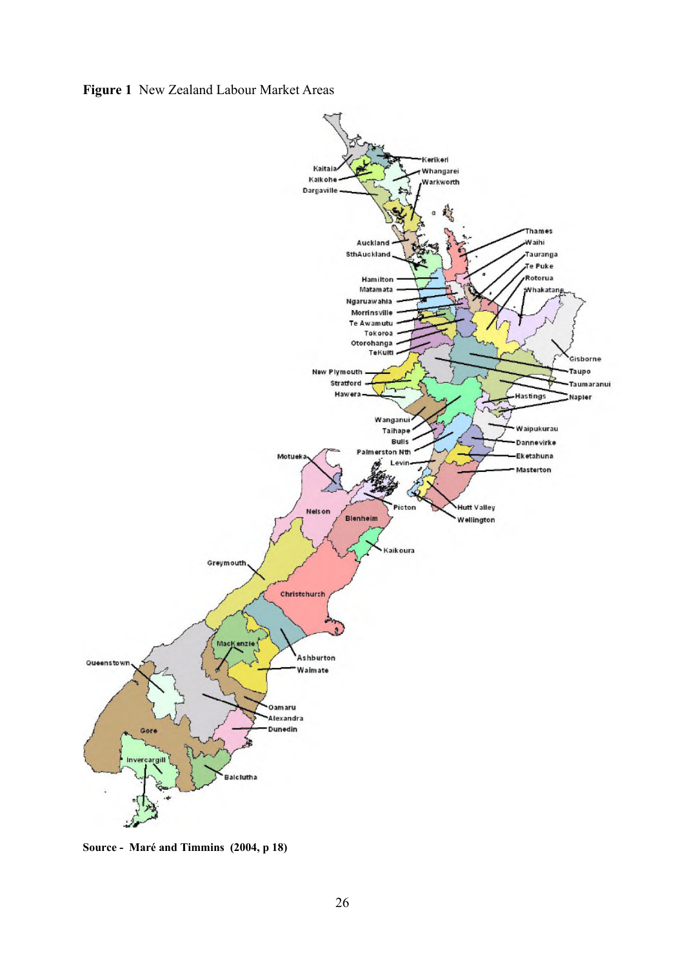**Figure 1** New Zealand Labour Market Areas



**Source - Maré and Timmins (2004, p 18)**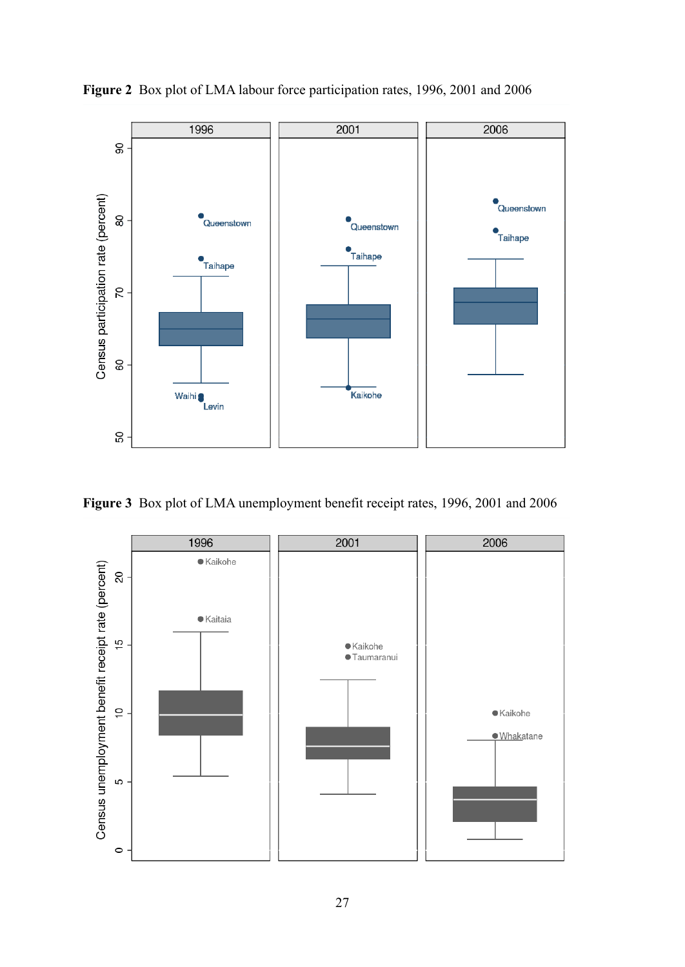

**Figure 2** Box plot of LMA labour force participation rates, 1996, 2001 and 2006

**Figure 3** Box plot of LMA unemployment benefit receipt rates, 1996, 2001 and 2006

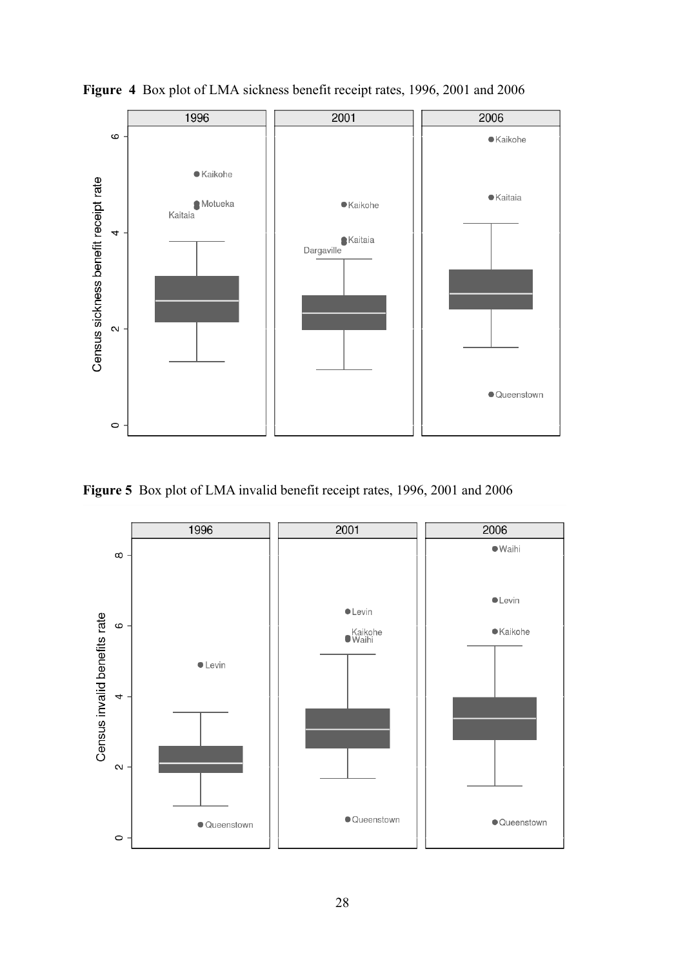

![](_page_28_Figure_1.jpeg)

**Figure 5** Box plot of LMA invalid benefit receipt rates, 1996, 2001 and 2006

![](_page_28_Figure_3.jpeg)